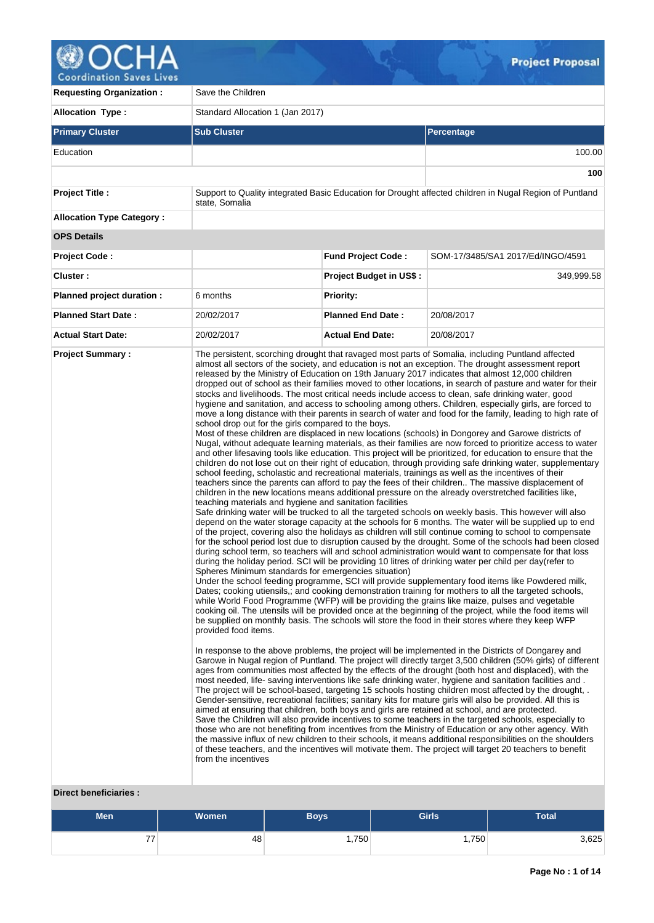

| <b>Requesting Organization:</b>                         | Save the Children                                                                                                                                                                                                      |                                |                                                                                                                                                                                                                                                                                                                                                                                                                                                                                                                                                                                                                                                                                                                                                                                                                                                                                                                                                                                                                                                                                                                                                                                                                                                                                                                                                                                                                                                                                                                                                                                                                                                                                                                                                                                                                                                                                                                                                                                                                                                                                                                                                                                                                                                                                                                                                                                                                                                                                                                                                                                                                                                                                                                                                                                                                                                                                                                                                                                                                                                                                                                                                                                                                                                                                                                                                                                                                                                                                                                                                                                                                                                                                                                                                                                                                                                                                                                                                                   |  |  |  |
|---------------------------------------------------------|------------------------------------------------------------------------------------------------------------------------------------------------------------------------------------------------------------------------|--------------------------------|-------------------------------------------------------------------------------------------------------------------------------------------------------------------------------------------------------------------------------------------------------------------------------------------------------------------------------------------------------------------------------------------------------------------------------------------------------------------------------------------------------------------------------------------------------------------------------------------------------------------------------------------------------------------------------------------------------------------------------------------------------------------------------------------------------------------------------------------------------------------------------------------------------------------------------------------------------------------------------------------------------------------------------------------------------------------------------------------------------------------------------------------------------------------------------------------------------------------------------------------------------------------------------------------------------------------------------------------------------------------------------------------------------------------------------------------------------------------------------------------------------------------------------------------------------------------------------------------------------------------------------------------------------------------------------------------------------------------------------------------------------------------------------------------------------------------------------------------------------------------------------------------------------------------------------------------------------------------------------------------------------------------------------------------------------------------------------------------------------------------------------------------------------------------------------------------------------------------------------------------------------------------------------------------------------------------------------------------------------------------------------------------------------------------------------------------------------------------------------------------------------------------------------------------------------------------------------------------------------------------------------------------------------------------------------------------------------------------------------------------------------------------------------------------------------------------------------------------------------------------------------------------------------------------------------------------------------------------------------------------------------------------------------------------------------------------------------------------------------------------------------------------------------------------------------------------------------------------------------------------------------------------------------------------------------------------------------------------------------------------------------------------------------------------------------------------------------------------------------------------------------------------------------------------------------------------------------------------------------------------------------------------------------------------------------------------------------------------------------------------------------------------------------------------------------------------------------------------------------------------------------------------------------------------------------------------------------------------|--|--|--|
| <b>Allocation Type:</b>                                 | Standard Allocation 1 (Jan 2017)                                                                                                                                                                                       |                                |                                                                                                                                                                                                                                                                                                                                                                                                                                                                                                                                                                                                                                                                                                                                                                                                                                                                                                                                                                                                                                                                                                                                                                                                                                                                                                                                                                                                                                                                                                                                                                                                                                                                                                                                                                                                                                                                                                                                                                                                                                                                                                                                                                                                                                                                                                                                                                                                                                                                                                                                                                                                                                                                                                                                                                                                                                                                                                                                                                                                                                                                                                                                                                                                                                                                                                                                                                                                                                                                                                                                                                                                                                                                                                                                                                                                                                                                                                                                                                   |  |  |  |
| <b>Primary Cluster</b>                                  | <b>Sub Cluster</b>                                                                                                                                                                                                     |                                | Percentage                                                                                                                                                                                                                                                                                                                                                                                                                                                                                                                                                                                                                                                                                                                                                                                                                                                                                                                                                                                                                                                                                                                                                                                                                                                                                                                                                                                                                                                                                                                                                                                                                                                                                                                                                                                                                                                                                                                                                                                                                                                                                                                                                                                                                                                                                                                                                                                                                                                                                                                                                                                                                                                                                                                                                                                                                                                                                                                                                                                                                                                                                                                                                                                                                                                                                                                                                                                                                                                                                                                                                                                                                                                                                                                                                                                                                                                                                                                                                        |  |  |  |
| Education                                               |                                                                                                                                                                                                                        |                                | 100.00                                                                                                                                                                                                                                                                                                                                                                                                                                                                                                                                                                                                                                                                                                                                                                                                                                                                                                                                                                                                                                                                                                                                                                                                                                                                                                                                                                                                                                                                                                                                                                                                                                                                                                                                                                                                                                                                                                                                                                                                                                                                                                                                                                                                                                                                                                                                                                                                                                                                                                                                                                                                                                                                                                                                                                                                                                                                                                                                                                                                                                                                                                                                                                                                                                                                                                                                                                                                                                                                                                                                                                                                                                                                                                                                                                                                                                                                                                                                                            |  |  |  |
|                                                         |                                                                                                                                                                                                                        |                                | 100                                                                                                                                                                                                                                                                                                                                                                                                                                                                                                                                                                                                                                                                                                                                                                                                                                                                                                                                                                                                                                                                                                                                                                                                                                                                                                                                                                                                                                                                                                                                                                                                                                                                                                                                                                                                                                                                                                                                                                                                                                                                                                                                                                                                                                                                                                                                                                                                                                                                                                                                                                                                                                                                                                                                                                                                                                                                                                                                                                                                                                                                                                                                                                                                                                                                                                                                                                                                                                                                                                                                                                                                                                                                                                                                                                                                                                                                                                                                                               |  |  |  |
| Project Title :                                         | state, Somalia                                                                                                                                                                                                         |                                | Support to Quality integrated Basic Education for Drought affected children in Nugal Region of Puntland                                                                                                                                                                                                                                                                                                                                                                                                                                                                                                                                                                                                                                                                                                                                                                                                                                                                                                                                                                                                                                                                                                                                                                                                                                                                                                                                                                                                                                                                                                                                                                                                                                                                                                                                                                                                                                                                                                                                                                                                                                                                                                                                                                                                                                                                                                                                                                                                                                                                                                                                                                                                                                                                                                                                                                                                                                                                                                                                                                                                                                                                                                                                                                                                                                                                                                                                                                                                                                                                                                                                                                                                                                                                                                                                                                                                                                                           |  |  |  |
| <b>Allocation Type Category:</b>                        |                                                                                                                                                                                                                        |                                |                                                                                                                                                                                                                                                                                                                                                                                                                                                                                                                                                                                                                                                                                                                                                                                                                                                                                                                                                                                                                                                                                                                                                                                                                                                                                                                                                                                                                                                                                                                                                                                                                                                                                                                                                                                                                                                                                                                                                                                                                                                                                                                                                                                                                                                                                                                                                                                                                                                                                                                                                                                                                                                                                                                                                                                                                                                                                                                                                                                                                                                                                                                                                                                                                                                                                                                                                                                                                                                                                                                                                                                                                                                                                                                                                                                                                                                                                                                                                                   |  |  |  |
| <b>OPS Details</b>                                      |                                                                                                                                                                                                                        |                                |                                                                                                                                                                                                                                                                                                                                                                                                                                                                                                                                                                                                                                                                                                                                                                                                                                                                                                                                                                                                                                                                                                                                                                                                                                                                                                                                                                                                                                                                                                                                                                                                                                                                                                                                                                                                                                                                                                                                                                                                                                                                                                                                                                                                                                                                                                                                                                                                                                                                                                                                                                                                                                                                                                                                                                                                                                                                                                                                                                                                                                                                                                                                                                                                                                                                                                                                                                                                                                                                                                                                                                                                                                                                                                                                                                                                                                                                                                                                                                   |  |  |  |
| <b>Project Code:</b>                                    |                                                                                                                                                                                                                        | <b>Fund Project Code:</b>      | SOM-17/3485/SA1 2017/Ed/INGO/4591                                                                                                                                                                                                                                                                                                                                                                                                                                                                                                                                                                                                                                                                                                                                                                                                                                                                                                                                                                                                                                                                                                                                                                                                                                                                                                                                                                                                                                                                                                                                                                                                                                                                                                                                                                                                                                                                                                                                                                                                                                                                                                                                                                                                                                                                                                                                                                                                                                                                                                                                                                                                                                                                                                                                                                                                                                                                                                                                                                                                                                                                                                                                                                                                                                                                                                                                                                                                                                                                                                                                                                                                                                                                                                                                                                                                                                                                                                                                 |  |  |  |
| Cluster:                                                |                                                                                                                                                                                                                        | <b>Project Budget in US\$:</b> | 349,999.58                                                                                                                                                                                                                                                                                                                                                                                                                                                                                                                                                                                                                                                                                                                                                                                                                                                                                                                                                                                                                                                                                                                                                                                                                                                                                                                                                                                                                                                                                                                                                                                                                                                                                                                                                                                                                                                                                                                                                                                                                                                                                                                                                                                                                                                                                                                                                                                                                                                                                                                                                                                                                                                                                                                                                                                                                                                                                                                                                                                                                                                                                                                                                                                                                                                                                                                                                                                                                                                                                                                                                                                                                                                                                                                                                                                                                                                                                                                                                        |  |  |  |
| Planned project duration :                              | 6 months                                                                                                                                                                                                               | <b>Priority:</b>               |                                                                                                                                                                                                                                                                                                                                                                                                                                                                                                                                                                                                                                                                                                                                                                                                                                                                                                                                                                                                                                                                                                                                                                                                                                                                                                                                                                                                                                                                                                                                                                                                                                                                                                                                                                                                                                                                                                                                                                                                                                                                                                                                                                                                                                                                                                                                                                                                                                                                                                                                                                                                                                                                                                                                                                                                                                                                                                                                                                                                                                                                                                                                                                                                                                                                                                                                                                                                                                                                                                                                                                                                                                                                                                                                                                                                                                                                                                                                                                   |  |  |  |
| <b>Planned Start Date:</b>                              | 20/02/2017                                                                                                                                                                                                             | <b>Planned End Date:</b>       | 20/08/2017                                                                                                                                                                                                                                                                                                                                                                                                                                                                                                                                                                                                                                                                                                                                                                                                                                                                                                                                                                                                                                                                                                                                                                                                                                                                                                                                                                                                                                                                                                                                                                                                                                                                                                                                                                                                                                                                                                                                                                                                                                                                                                                                                                                                                                                                                                                                                                                                                                                                                                                                                                                                                                                                                                                                                                                                                                                                                                                                                                                                                                                                                                                                                                                                                                                                                                                                                                                                                                                                                                                                                                                                                                                                                                                                                                                                                                                                                                                                                        |  |  |  |
| <b>Actual Start Date:</b>                               | 20/02/2017                                                                                                                                                                                                             | <b>Actual End Date:</b>        | 20/08/2017                                                                                                                                                                                                                                                                                                                                                                                                                                                                                                                                                                                                                                                                                                                                                                                                                                                                                                                                                                                                                                                                                                                                                                                                                                                                                                                                                                                                                                                                                                                                                                                                                                                                                                                                                                                                                                                                                                                                                                                                                                                                                                                                                                                                                                                                                                                                                                                                                                                                                                                                                                                                                                                                                                                                                                                                                                                                                                                                                                                                                                                                                                                                                                                                                                                                                                                                                                                                                                                                                                                                                                                                                                                                                                                                                                                                                                                                                                                                                        |  |  |  |
| <b>Project Summary:</b><br><b>Direct beneficiaries:</b> | school drop out for the girls compared to the boys.<br>teaching materials and hygiene and sanitation facilities<br>Spheres Minimum standards for emergencies situation)<br>provided food items.<br>from the incentives |                                | The persistent, scorching drought that ravaged most parts of Somalia, including Puntland affected<br>almost all sectors of the society, and education is not an exception. The drought assessment report<br>released by the Ministry of Education on 19th January 2017 indicates that almost 12,000 children<br>dropped out of school as their families moved to other locations, in search of pasture and water for their<br>stocks and livelihoods. The most critical needs include access to clean, safe drinking water, good<br>hygiene and sanitation, and access to schooling among others. Children, especially girls, are forced to<br>move a long distance with their parents in search of water and food for the family, leading to high rate of<br>Most of these children are displaced in new locations (schools) in Dongorey and Garowe districts of<br>Nugal, without adequate learning materials, as their families are now forced to prioritize access to water<br>and other lifesaving tools like education. This project will be prioritized, for education to ensure that the<br>children do not lose out on their right of education, through providing safe drinking water, supplementary<br>school feeding, scholastic and recreational materials, trainings as well as the incentives of their<br>teachers since the parents can afford to pay the fees of their children The massive displacement of<br>children in the new locations means additional pressure on the already overstretched facilities like,<br>Safe drinking water will be trucked to all the targeted schools on weekly basis. This however will also<br>depend on the water storage capacity at the schools for 6 months. The water will be supplied up to end<br>of the project, covering also the holidays as children will still continue coming to school to compensate<br>for the school period lost due to disruption caused by the drought. Some of the schools had been closed<br>during school term, so teachers will and school administration would want to compensate for that loss<br>during the holiday period. SCI will be providing 10 litres of drinking water per child per day (refer to<br>Under the school feeding programme, SCI will provide supplementary food items like Powdered milk,<br>Dates; cooking utiensils,; and cooking demonstration training for mothers to all the targeted schools,<br>while World Food Programme (WFP) will be providing the grains like maize, pulses and vegetable<br>cooking oil. The utensils will be provided once at the beginning of the project, while the food items will<br>be supplied on monthly basis. The schools will store the food in their stores where they keep WFP<br>In response to the above problems, the project will be implemented in the Districts of Dongarey and<br>Garowe in Nugal region of Puntland. The project will directly target 3,500 children (50% girls) of different<br>ages from communities most affected by the effects of the drought (both host and displaced), with the<br>most needed, life-saving interventions like safe drinking water, hygiene and sanitation facilities and.<br>The project will be school-based, targeting 15 schools hosting children most affected by the drought, .<br>Gender-sensitive, recreational facilities; sanitary kits for mature girls will also be provided. All this is<br>aimed at ensuring that children, both boys and girls are retained at school, and are protected.<br>Save the Children will also provide incentives to some teachers in the targeted schools, especially to<br>those who are not benefiting from incentives from the Ministry of Education or any other agency. With<br>the massive influx of new children to their schools, it means additional responsibilities on the shoulders<br>of these teachers, and the incentives will motivate them. The project will target 20 teachers to benefit |  |  |  |

# **Men Women Boys Girls Total** 77 48 1,750 1,750 3,625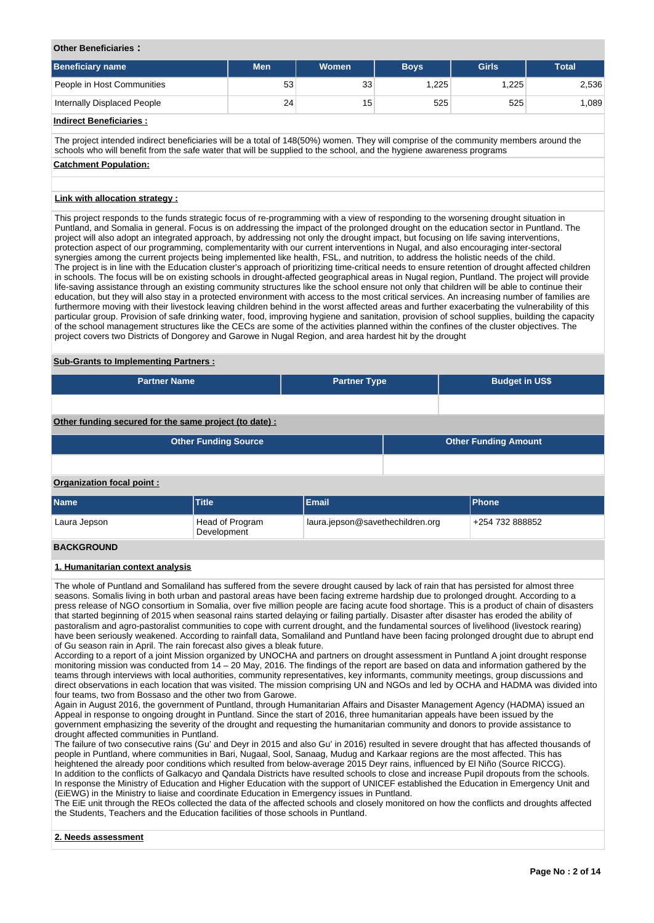#### **Other Beneficiaries :**

| <b>Beneficiary name</b>     | <b>Men</b> | <b>Women</b>    | <b>Boys</b> | <b>Girls</b> | <b>Total</b> |
|-----------------------------|------------|-----------------|-------------|--------------|--------------|
| People in Host Communities  | 53         | 33              | 1.225       | .225         | 2,536        |
| Internally Displaced People | 24         | 15 <sub>1</sub> | 525         | 525          | 1,089        |

#### **Indirect Beneficiaries :**

The project intended indirect beneficiaries will be a total of 148(50%) women. They will comprise of the community members around the schools who will benefit from the safe water that will be supplied to the school, and the hygiene awareness programs

## **Catchment Population:**

#### **Link with allocation strategy :**

This project responds to the funds strategic focus of re-programming with a view of responding to the worsening drought situation in Puntland, and Somalia in general. Focus is on addressing the impact of the prolonged drought on the education sector in Puntland. The project will also adopt an integrated approach, by addressing not only the drought impact, but focusing on life saving interventions, protection aspect of our programming, complementarity with our current interventions in Nugal, and also encouraging inter-sectoral synergies among the current projects being implemented like health, FSL, and nutrition, to address the holistic needs of the child. The project is in line with the Education cluster's approach of prioritizing time-critical needs to ensure retention of drought affected children in schools. The focus will be on existing schools in drought-affected geographical areas in Nugal region, Puntland. The project will provide life-saving assistance through an existing community structures like the school ensure not only that children will be able to continue their education, but they will also stay in a protected environment with access to the most critical services. An increasing number of families are furthermore moving with their livestock leaving children behind in the worst affected areas and further exacerbating the vulnerability of this particular group. Provision of safe drinking water, food, improving hygiene and sanitation, provision of school supplies, building the capacity of the school management structures like the CECs are some of the activities planned within the confines of the cluster objectives. The project covers two Districts of Dongorey and Garowe in Nugal Region, and area hardest hit by the drought

#### **Sub-Grants to Implementing Partners :**

| <b>Partner Name</b> | <b>Partner Type</b> | <b>Budget in US\$</b> |
|---------------------|---------------------|-----------------------|
|                     |                     |                       |

### **Other funding secured for the same project (to date) :**

| <b>Other Funding Source</b> | <b>Other Funding Amount</b> |
|-----------------------------|-----------------------------|
|                             |                             |

#### **Organization focal point :**

| <b>Name</b>       | <b>Title</b>                   | Email                            | <b>Phone</b>    |
|-------------------|--------------------------------|----------------------------------|-----------------|
| Laura Jepson      | Head of Program<br>Development | laura.jepson@savethechildren.org | +254 732 888852 |
| <b>DACKODOUND</b> |                                |                                  |                 |

#### **BACKGROUND**

#### **1. Humanitarian context analysis**

The whole of Puntland and Somaliland has suffered from the severe drought caused by lack of rain that has persisted for almost three seasons. Somalis living in both urban and pastoral areas have been facing extreme hardship due to prolonged drought. According to a press release of NGO consortium in Somalia, over five million people are facing acute food shortage. This is a product of chain of disasters that started beginning of 2015 when seasonal rains started delaying or failing partially. Disaster after disaster has eroded the ability of pastoralism and agro-pastoralist communities to cope with current drought, and the fundamental sources of livelihood (livestock rearing) have been seriously weakened. According to rainfall data, Somaliland and Puntland have been facing prolonged drought due to abrupt end of Gu season rain in April. The rain forecast also gives a bleak future.

According to a report of a joint Mission organized by UNOCHA and partners on drought assessment in Puntland A joint drought response monitoring mission was conducted from 14 – 20 May, 2016. The findings of the report are based on data and information gathered by the teams through interviews with local authorities, community representatives, key informants, community meetings, group discussions and direct observations in each location that was visited. The mission comprising UN and NGOs and led by OCHA and HADMA was divided into four teams, two from Bossaso and the other two from Garowe.

Again in August 2016, the government of Puntland, through Humanitarian Affairs and Disaster Management Agency (HADMA) issued an Appeal in response to ongoing drought in Puntland. Since the start of 2016, three humanitarian appeals have been issued by the government emphasizing the severity of the drought and requesting the humanitarian community and donors to provide assistance to drought affected communities in Puntland.

The failure of two consecutive rains (Gu' and Deyr in 2015 and also Gu' in 2016) resulted in severe drought that has affected thousands of people in Puntland, where communities in Bari, Nugaal, Sool, Sanaag, Mudug and Karkaar regions are the most affected. This has heightened the already poor conditions which resulted from below-average 2015 Deyr rains, influenced by El Niño (Source RICCG). In addition to the conflicts of Galkacyo and Qandala Districts have resulted schools to close and increase Pupil dropouts from the schools. In response the Ministry of Education and Higher Education with the support of UNICEF established the Education in Emergency Unit and (EiEWG) in the Ministry to liaise and coordinate Education in Emergency issues in Puntland.

The EiE unit through the REOs collected the data of the affected schools and closely monitored on how the conflicts and droughts affected the Students, Teachers and the Education facilities of those schools in Puntland.

#### **2. Needs assessment**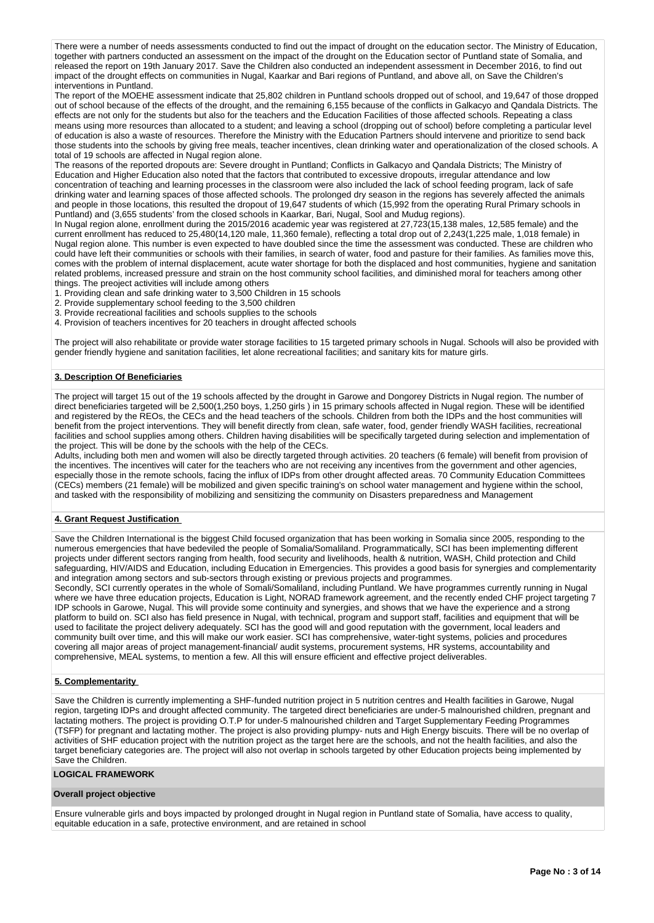There were a number of needs assessments conducted to find out the impact of drought on the education sector. The Ministry of Education, together with partners conducted an assessment on the impact of the drought on the Education sector of Puntland state of Somalia, and released the report on 19th January 2017. Save the Children also conducted an independent assessment in December 2016, to find out impact of the drought effects on communities in Nugal, Kaarkar and Bari regions of Puntland, and above all, on Save the Children's interventions in Puntland.

The report of the MOEHE assessment indicate that 25,802 children in Puntland schools dropped out of school, and 19,647 of those dropped out of school because of the effects of the drought, and the remaining 6,155 because of the conflicts in Galkacyo and Qandala Districts. The effects are not only for the students but also for the teachers and the Education Facilities of those affected schools. Repeating a class means using more resources than allocated to a student; and leaving a school (dropping out of school) before completing a particular level of education is also a waste of resources. Therefore the Ministry with the Education Partners should intervene and prioritize to send back those students into the schools by giving free meals, teacher incentives, clean drinking water and operationalization of the closed schools. A total of 19 schools are affected in Nugal region alone.

The reasons of the reported dropouts are: Severe drought in Puntland; Conflicts in Galkacyo and Qandala Districts; The Ministry of Education and Higher Education also noted that the factors that contributed to excessive dropouts, irregular attendance and low concentration of teaching and learning processes in the classroom were also included the lack of school feeding program, lack of safe drinking water and learning spaces of those affected schools. The prolonged dry season in the regions has severely affected the animals and people in those locations, this resulted the dropout of 19,647 students of which (15,992 from the operating Rural Primary schools in Puntland) and (3,655 students' from the closed schools in Kaarkar, Bari, Nugal, Sool and Mudug regions).

In Nugal region alone, enrollment during the 2015/2016 academic year was registered at 27,723(15,138 males, 12,585 female) and the current enrollment has reduced to 25,480(14,120 male, 11,360 female), reflecting a total drop out of 2,243(1,225 male, 1,018 female) in Nugal region alone. This number is even expected to have doubled since the time the assessment was conducted. These are children who could have left their communities or schools with their families, in search of water, food and pasture for their families. As families move this, comes with the problem of internal displacement, acute water shortage for both the displaced and host communities, hygiene and sanitation related problems, increased pressure and strain on the host community school facilities, and diminished moral for teachers among other things. The preoject activities will include among others

- 1. Providing clean and safe drinking water to 3,500 Children in 15 schools
- 2. Provide supplementary school feeding to the 3,500 children
- 3. Provide recreational facilities and schools supplies to the schools
- 4. Provision of teachers incentives for 20 teachers in drought affected schools

The project will also rehabilitate or provide water storage facilities to 15 targeted primary schools in Nugal. Schools will also be provided with gender friendly hygiene and sanitation facilities, let alone recreational facilities; and sanitary kits for mature girls.

#### **3. Description Of Beneficiaries**

The project will target 15 out of the 19 schools affected by the drought in Garowe and Dongorey Districts in Nugal region. The number of direct beneficiaries targeted will be 2,500(1,250 boys, 1,250 girls ) in 15 primary schools affected in Nugal region. These will be identified and registered by the REOs, the CECs and the head teachers of the schools. Children from both the IDPs and the host communities will benefit from the project interventions. They will benefit directly from clean, safe water, food, gender friendly WASH facilities, recreational facilities and school supplies among others. Children having disabilities will be specifically targeted during selection and implementation of the project. This will be done by the schools with the help of the CECs.

Adults, including both men and women will also be directly targeted through activities. 20 teachers (6 female) will benefit from provision of the incentives. The incentives will cater for the teachers who are not receiving any incentives from the government and other agencies, especially those in the remote schools, facing the influx of IDPs from other drought affected areas. 70 Community Education Committees (CECs) members (21 female) will be mobilized and given specific training's on school water management and hygiene within the school, and tasked with the responsibility of mobilizing and sensitizing the community on Disasters preparedness and Management

#### **4. Grant Request Justification**

Save the Children International is the biggest Child focused organization that has been working in Somalia since 2005, responding to the numerous emergencies that have bedeviled the people of Somalia/Somaliland. Programmatically, SCI has been implementing different projects under different sectors ranging from health, food security and livelihoods, health & nutrition, WASH, Child protection and Child safeguarding, HIV/AIDS and Education, including Education in Emergencies. This provides a good basis for synergies and complementarity and integration among sectors and sub-sectors through existing or previous projects and programmes.

Secondly, SCI currently operates in the whole of Somali/Somaliland, including Puntland. We have programmes currently running in Nugal where we have three education projects, Education is Light, NORAD framework agreement, and the recently ended CHF project targeting 7 IDP schools in Garowe, Nugal. This will provide some continuity and synergies, and shows that we have the experience and a strong platform to build on. SCI also has field presence in Nugal, with technical, program and support staff, facilities and equipment that will be used to facilitate the project delivery adequately. SCI has the good will and good reputation with the government, local leaders and community built over time, and this will make our work easier. SCI has comprehensive, water-tight systems, policies and procedures covering all major areas of project management-financial/ audit systems, procurement systems, HR systems, accountability and comprehensive, MEAL systems, to mention a few. All this will ensure efficient and effective project deliverables.

#### **5. Complementarity**

Save the Children is currently implementing a SHF-funded nutrition project in 5 nutrition centres and Health facilities in Garowe, Nugal region, targeting IDPs and drought affected community. The targeted direct beneficiaries are under-5 malnourished children, pregnant and lactating mothers. The project is providing O.T.P for under-5 malnourished children and Target Supplementary Feeding Programmes (TSFP) for pregnant and lactating mother. The project is also providing plumpy- nuts and High Energy biscuits. There will be no overlap of activities of SHF education project with the nutrition project as the target here are the schools, and not the health facilities, and also the target beneficiary categories are. The project will also not overlap in schools targeted by other Education projects being implemented by Save the Children.

#### **LOGICAL FRAMEWORK**

#### **Overall project objective**

Ensure vulnerable girls and boys impacted by prolonged drought in Nugal region in Puntland state of Somalia, have access to quality, equitable education in a safe, protective environment, and are retained in school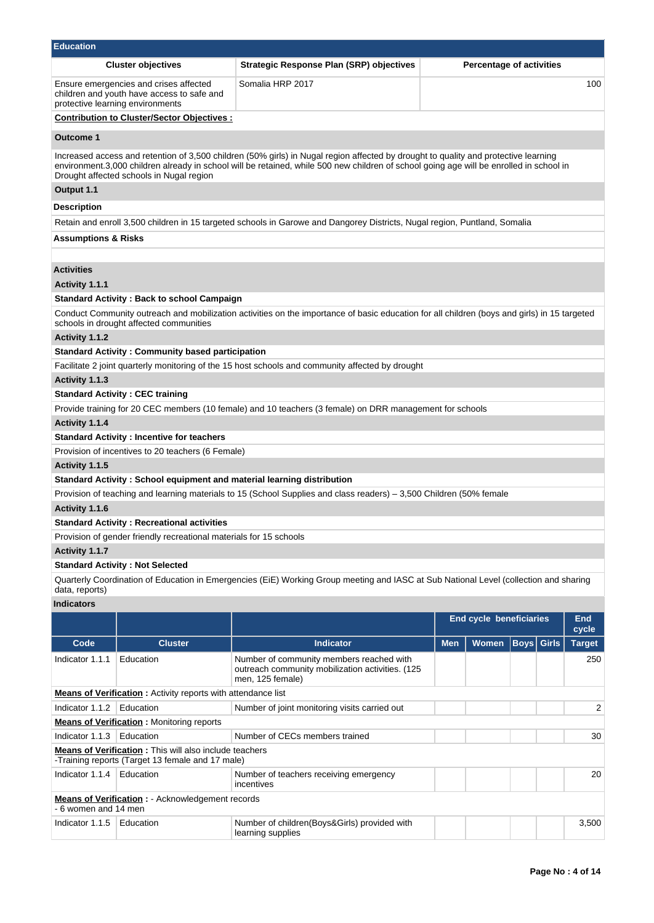| <b>Education</b>               |                                                                                                                          |                                                                                                                                                                                                                                                                                |            |                                |                                 |               |
|--------------------------------|--------------------------------------------------------------------------------------------------------------------------|--------------------------------------------------------------------------------------------------------------------------------------------------------------------------------------------------------------------------------------------------------------------------------|------------|--------------------------------|---------------------------------|---------------|
|                                | <b>Cluster objectives</b>                                                                                                | Strategic Response Plan (SRP) objectives                                                                                                                                                                                                                                       |            |                                | <b>Percentage of activities</b> |               |
|                                | Ensure emergencies and crises affected<br>children and youth have access to safe and<br>protective learning environments | Somalia HRP 2017                                                                                                                                                                                                                                                               |            |                                |                                 | 100           |
|                                | <b>Contribution to Cluster/Sector Objectives:</b>                                                                        |                                                                                                                                                                                                                                                                                |            |                                |                                 |               |
| Outcome 1                      |                                                                                                                          |                                                                                                                                                                                                                                                                                |            |                                |                                 |               |
|                                | Drought affected schools in Nugal region                                                                                 | Increased access and retention of 3,500 children (50% girls) in Nugal region affected by drought to quality and protective learning<br>environment.3,000 children already in school will be retained, while 500 new children of school going age will be enrolled in school in |            |                                |                                 |               |
| Output 1.1                     |                                                                                                                          |                                                                                                                                                                                                                                                                                |            |                                |                                 |               |
| Description                    |                                                                                                                          |                                                                                                                                                                                                                                                                                |            |                                |                                 |               |
|                                |                                                                                                                          | Retain and enroll 3,500 children in 15 targeted schools in Garowe and Dangorey Districts, Nugal region, Puntland, Somalia                                                                                                                                                      |            |                                |                                 |               |
| <b>Assumptions &amp; Risks</b> |                                                                                                                          |                                                                                                                                                                                                                                                                                |            |                                |                                 |               |
|                                |                                                                                                                          |                                                                                                                                                                                                                                                                                |            |                                |                                 |               |
| <b>Activities</b>              |                                                                                                                          |                                                                                                                                                                                                                                                                                |            |                                |                                 |               |
| <b>Activity 1.1.1</b>          |                                                                                                                          |                                                                                                                                                                                                                                                                                |            |                                |                                 |               |
|                                | <b>Standard Activity: Back to school Campaign</b>                                                                        |                                                                                                                                                                                                                                                                                |            |                                |                                 |               |
|                                | schools in drought affected communities                                                                                  | Conduct Community outreach and mobilization activities on the importance of basic education for all children (boys and girls) in 15 targeted                                                                                                                                   |            |                                |                                 |               |
| Activity 1.1.2                 |                                                                                                                          |                                                                                                                                                                                                                                                                                |            |                                |                                 |               |
|                                | <b>Standard Activity: Community based participation</b>                                                                  |                                                                                                                                                                                                                                                                                |            |                                |                                 |               |
|                                |                                                                                                                          | Facilitate 2 joint quarterly monitoring of the 15 host schools and community affected by drought                                                                                                                                                                               |            |                                |                                 |               |
| Activity 1.1.3                 |                                                                                                                          |                                                                                                                                                                                                                                                                                |            |                                |                                 |               |
|                                | <b>Standard Activity: CEC training</b>                                                                                   |                                                                                                                                                                                                                                                                                |            |                                |                                 |               |
|                                |                                                                                                                          | Provide training for 20 CEC members (10 female) and 10 teachers (3 female) on DRR management for schools                                                                                                                                                                       |            |                                |                                 |               |
| Activity 1.1.4                 |                                                                                                                          |                                                                                                                                                                                                                                                                                |            |                                |                                 |               |
|                                | <b>Standard Activity: Incentive for teachers</b>                                                                         |                                                                                                                                                                                                                                                                                |            |                                |                                 |               |
|                                | Provision of incentives to 20 teachers (6 Female)                                                                        |                                                                                                                                                                                                                                                                                |            |                                |                                 |               |
| Activity 1.1.5                 |                                                                                                                          |                                                                                                                                                                                                                                                                                |            |                                |                                 |               |
|                                |                                                                                                                          | Standard Activity: School equipment and material learning distribution                                                                                                                                                                                                         |            |                                |                                 |               |
| Activity 1.1.6                 |                                                                                                                          | Provision of teaching and learning materials to 15 (School Supplies and class readers) – 3,500 Children (50% female                                                                                                                                                            |            |                                |                                 |               |
|                                | <b>Standard Activity: Recreational activities</b>                                                                        |                                                                                                                                                                                                                                                                                |            |                                |                                 |               |
|                                | Provision of gender friendly recreational materials for 15 schools                                                       |                                                                                                                                                                                                                                                                                |            |                                |                                 |               |
| Activity 1.1.7                 |                                                                                                                          |                                                                                                                                                                                                                                                                                |            |                                |                                 |               |
|                                | <b>Standard Activity: Not Selected</b>                                                                                   |                                                                                                                                                                                                                                                                                |            |                                |                                 |               |
| data, reports)                 |                                                                                                                          | Quarterly Coordination of Education in Emergencies (EiE) Working Group meeting and IASC at Sub National Level (collection and sharing                                                                                                                                          |            |                                |                                 |               |
| <b>Indicators</b>              |                                                                                                                          |                                                                                                                                                                                                                                                                                |            |                                |                                 |               |
|                                |                                                                                                                          |                                                                                                                                                                                                                                                                                |            | <b>End cycle beneficiaries</b> |                                 | End           |
|                                |                                                                                                                          |                                                                                                                                                                                                                                                                                |            |                                |                                 | cycle         |
| Code                           | <b>Cluster</b>                                                                                                           | <b>Indicator</b>                                                                                                                                                                                                                                                               | <b>Men</b> | <b>Women</b>                   | <b>Boys</b><br>Girls            | <b>Target</b> |
| Indicator 1.1.1                | Education                                                                                                                | Number of community members reached with<br>outreach community mobilization activities. (125<br>men, 125 female)                                                                                                                                                               |            |                                |                                 | 250           |
|                                | Means of Verification: Activity reports with attendance list                                                             |                                                                                                                                                                                                                                                                                |            |                                |                                 |               |
| Indicator 1.1.2                | Education                                                                                                                | Number of joint monitoring visits carried out                                                                                                                                                                                                                                  |            |                                |                                 | 2             |
|                                | <b>Means of Verification:</b> Monitoring reports                                                                         |                                                                                                                                                                                                                                                                                |            |                                |                                 |               |
| Indicator 1.1.3                | Education                                                                                                                | Number of CECs members trained                                                                                                                                                                                                                                                 |            |                                |                                 | 30            |
|                                | <b>Means of Verification</b> : This will also include teachers<br>-Training reports (Target 13 female and 17 male)       |                                                                                                                                                                                                                                                                                |            |                                |                                 |               |
| Indicator 1.1.4                | Education                                                                                                                | Number of teachers receiving emergency<br>incentives                                                                                                                                                                                                                           |            |                                |                                 | 20            |
| 6 women and 14 men             | <b>Means of Verification : - Acknowledgement records</b>                                                                 |                                                                                                                                                                                                                                                                                |            |                                |                                 |               |
| Indicator 1.1.5                | Education                                                                                                                | Number of children (Boys&Girls) provided with<br>learning supplies                                                                                                                                                                                                             |            |                                |                                 | 3,500         |
|                                |                                                                                                                          |                                                                                                                                                                                                                                                                                |            |                                |                                 |               |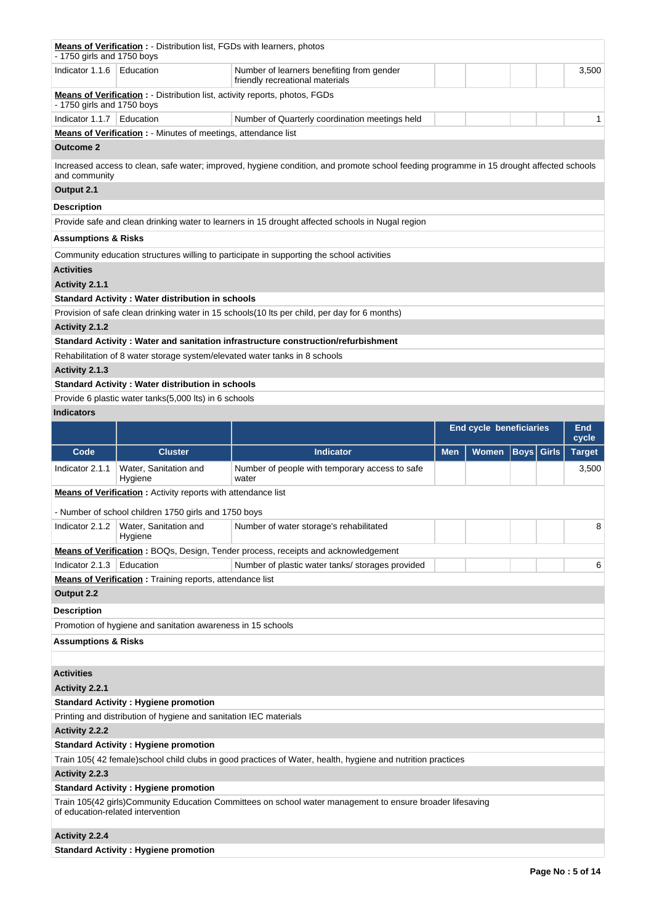| - 1750 girls and 1750 boys        | <b>Means of Verification :</b> - Distribution list, FGDs with learners, photos |                                                                                                                                         |            |                                |             |       |                     |
|-----------------------------------|--------------------------------------------------------------------------------|-----------------------------------------------------------------------------------------------------------------------------------------|------------|--------------------------------|-------------|-------|---------------------|
| Indicator 1.1.6                   | Education                                                                      | Number of learners benefiting from gender<br>friendly recreational materials                                                            |            |                                |             |       | 3,500               |
| - 1750 girls and 1750 boys        | Means of Verification : - Distribution list, activity reports, photos, FGDs    |                                                                                                                                         |            |                                |             |       |                     |
| Indicator 1.1.7                   | Education                                                                      | Number of Quarterly coordination meetings held                                                                                          |            |                                |             |       | 1.                  |
|                                   | Means of Verification : - Minutes of meetings, attendance list                 |                                                                                                                                         |            |                                |             |       |                     |
| <b>Outcome 2</b>                  |                                                                                |                                                                                                                                         |            |                                |             |       |                     |
|                                   |                                                                                | Increased access to clean, safe water; improved, hygiene condition, and promote school feeding programme in 15 drought affected schools |            |                                |             |       |                     |
| and community                     |                                                                                |                                                                                                                                         |            |                                |             |       |                     |
| Output 2.1                        |                                                                                |                                                                                                                                         |            |                                |             |       |                     |
| Description                       |                                                                                |                                                                                                                                         |            |                                |             |       |                     |
|                                   |                                                                                | Provide safe and clean drinking water to learners in 15 drought affected schools in Nugal region                                        |            |                                |             |       |                     |
| Assumptions & Risks               |                                                                                |                                                                                                                                         |            |                                |             |       |                     |
|                                   |                                                                                | Community education structures willing to participate in supporting the school activities                                               |            |                                |             |       |                     |
| <b>Activities</b>                 |                                                                                |                                                                                                                                         |            |                                |             |       |                     |
| Activity 2.1.1                    |                                                                                |                                                                                                                                         |            |                                |             |       |                     |
|                                   | <b>Standard Activity: Water distribution in schools</b>                        |                                                                                                                                         |            |                                |             |       |                     |
|                                   |                                                                                | Provision of safe clean drinking water in 15 schools (10 lts per child, per day for 6 months)                                           |            |                                |             |       |                     |
| Activity 2.1.2                    |                                                                                |                                                                                                                                         |            |                                |             |       |                     |
|                                   |                                                                                | Standard Activity: Water and sanitation infrastructure construction/refurbishment                                                       |            |                                |             |       |                     |
|                                   | Rehabilitation of 8 water storage system/elevated water tanks in 8 schools     |                                                                                                                                         |            |                                |             |       |                     |
| Activity 2.1.3                    |                                                                                |                                                                                                                                         |            |                                |             |       |                     |
|                                   | <b>Standard Activity: Water distribution in schools</b>                        |                                                                                                                                         |            |                                |             |       |                     |
|                                   | Provide 6 plastic water tanks(5,000 lts) in 6 schools                          |                                                                                                                                         |            |                                |             |       |                     |
| <b>Indicators</b>                 |                                                                                |                                                                                                                                         |            |                                |             |       |                     |
|                                   |                                                                                |                                                                                                                                         |            | <b>End cycle beneficiaries</b> |             |       | <b>End</b><br>cycle |
|                                   |                                                                                |                                                                                                                                         |            |                                |             |       |                     |
| Code                              | <b>Cluster</b>                                                                 | <b>Indicator</b>                                                                                                                        | <b>Men</b> | <b>Women</b>                   | <b>Boys</b> | Girls | <b>Target</b>       |
| Indicator 2.1.1                   | Water, Sanitation and<br>Hygiene                                               | Number of people with temporary access to safe<br>water                                                                                 |            |                                |             |       | 3,500               |
|                                   | <b>Means of Verification:</b> Activity reports with attendance list            |                                                                                                                                         |            |                                |             |       |                     |
|                                   |                                                                                |                                                                                                                                         |            |                                |             |       |                     |
|                                   | - Number of school children 1750 girls and 1750 boys                           |                                                                                                                                         |            |                                |             |       |                     |
|                                   | Indicator 2.1.2   Water, Sanitation and<br>Hygiene                             | Number of water storage's rehabilitated                                                                                                 |            |                                |             |       | 8                   |
|                                   |                                                                                | <b>Means of Verification:</b> BOQs, Design, Tender process, receipts and acknowledgement                                                |            |                                |             |       |                     |
| Indicator 2.1.3                   | Education                                                                      | Number of plastic water tanks/ storages provided                                                                                        |            |                                |             |       | 6                   |
|                                   | <b>Means of Verification:</b> Training reports, attendance list                |                                                                                                                                         |            |                                |             |       |                     |
| Output 2.2                        |                                                                                |                                                                                                                                         |            |                                |             |       |                     |
| Description                       |                                                                                |                                                                                                                                         |            |                                |             |       |                     |
|                                   | Promotion of hygiene and sanitation awareness in 15 schools                    |                                                                                                                                         |            |                                |             |       |                     |
| <b>Assumptions &amp; Risks</b>    |                                                                                |                                                                                                                                         |            |                                |             |       |                     |
|                                   |                                                                                |                                                                                                                                         |            |                                |             |       |                     |
| <b>Activities</b>                 |                                                                                |                                                                                                                                         |            |                                |             |       |                     |
| Activity 2.2.1                    |                                                                                |                                                                                                                                         |            |                                |             |       |                     |
|                                   | <b>Standard Activity: Hygiene promotion</b>                                    |                                                                                                                                         |            |                                |             |       |                     |
|                                   | Printing and distribution of hygiene and sanitation IEC materials              |                                                                                                                                         |            |                                |             |       |                     |
| Activity 2.2.2                    |                                                                                |                                                                                                                                         |            |                                |             |       |                     |
|                                   | <b>Standard Activity: Hygiene promotion</b>                                    |                                                                                                                                         |            |                                |             |       |                     |
|                                   |                                                                                | Train 105(42 female) school child clubs in good practices of Water, health, hygiene and nutrition practices                             |            |                                |             |       |                     |
| Activity 2.2.3                    |                                                                                |                                                                                                                                         |            |                                |             |       |                     |
|                                   | <b>Standard Activity: Hygiene promotion</b>                                    |                                                                                                                                         |            |                                |             |       |                     |
| of education-related intervention |                                                                                | Train 105(42 girls)Community Education Committees on school water management to ensure broader lifesaving                               |            |                                |             |       |                     |
| Activity 2.2.4                    |                                                                                |                                                                                                                                         |            |                                |             |       |                     |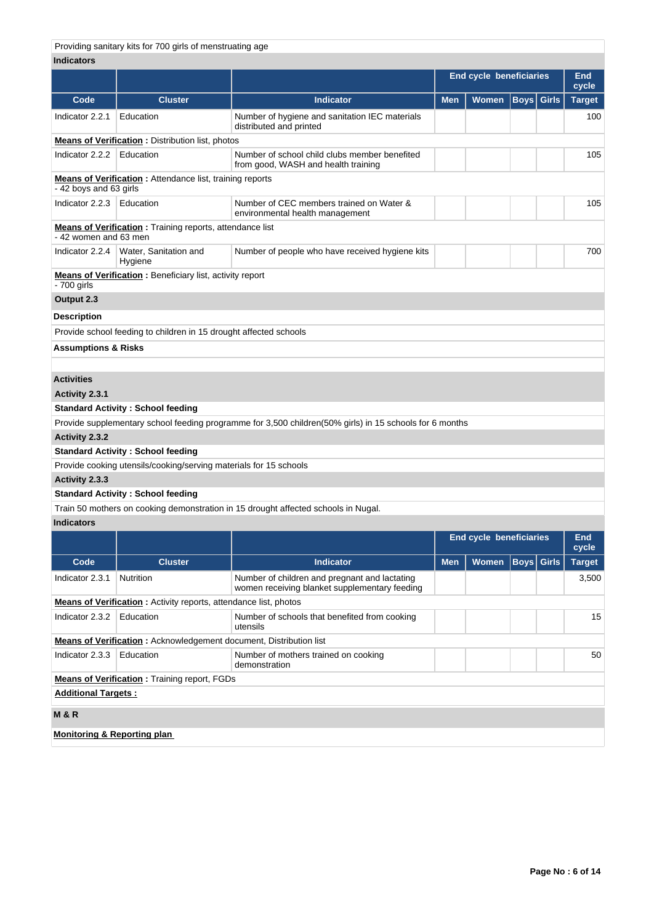Providing sanitary kits for 700 girls of menstruating age

### **Indicators**

|                                |                                                                   |                                                                                                         | <b>End cycle beneficiaries</b> |       |      |              | End<br>cycle  |  |  |
|--------------------------------|-------------------------------------------------------------------|---------------------------------------------------------------------------------------------------------|--------------------------------|-------|------|--------------|---------------|--|--|
| Code                           | <b>Cluster</b>                                                    | <b>Indicator</b>                                                                                        | <b>Men</b>                     | Women | Boys | <b>Girls</b> | <b>Target</b> |  |  |
| Indicator 2.2.1                | Education                                                         | Number of hygiene and sanitation IEC materials<br>distributed and printed                               |                                |       |      |              | 100           |  |  |
|                                | <b>Means of Verification:</b> Distribution list, photos           |                                                                                                         |                                |       |      |              |               |  |  |
| Indicator 2.2.2                | Education                                                         | Number of school child clubs member benefited<br>from good, WASH and health training                    |                                |       |      | 105          |               |  |  |
| - 42 boys and 63 girls         | <b>Means of Verification:</b> Attendance list, training reports   |                                                                                                         |                                |       |      |              |               |  |  |
| Indicator $2.2.3$ Education    |                                                                   | Number of CEC members trained on Water &<br>environmental health management                             |                                |       |      |              | 105           |  |  |
| - 42 women and 63 men          | <b>Means of Verification:</b> Training reports, attendance list   |                                                                                                         |                                |       |      |              |               |  |  |
|                                | Indicator 2.2.4   Water, Sanitation and<br>Hygiene                | Number of people who have received hygiene kits                                                         |                                |       |      |              | 700           |  |  |
| - 700 girls                    | <b>Means of Verification:</b> Beneficiary list, activity report   |                                                                                                         |                                |       |      |              |               |  |  |
| Output 2.3                     |                                                                   |                                                                                                         |                                |       |      |              |               |  |  |
| <b>Description</b>             |                                                                   |                                                                                                         |                                |       |      |              |               |  |  |
|                                | Provide school feeding to children in 15 drought affected schools |                                                                                                         |                                |       |      |              |               |  |  |
| <b>Assumptions &amp; Risks</b> |                                                                   |                                                                                                         |                                |       |      |              |               |  |  |
|                                |                                                                   |                                                                                                         |                                |       |      |              |               |  |  |
| <b>Activities</b>              |                                                                   |                                                                                                         |                                |       |      |              |               |  |  |
| Activity 2.3.1                 |                                                                   |                                                                                                         |                                |       |      |              |               |  |  |
|                                | <b>Standard Activity: School feeding</b>                          |                                                                                                         |                                |       |      |              |               |  |  |
|                                |                                                                   | Provide supplementary school feeding programme for 3,500 children(50% girls) in 15 schools for 6 months |                                |       |      |              |               |  |  |
| Activity 2.3.2                 |                                                                   |                                                                                                         |                                |       |      |              |               |  |  |
|                                | <b>Standard Activity: School feeding</b>                          |                                                                                                         |                                |       |      |              |               |  |  |
|                                | Provide cooking utensils/cooking/serving materials for 15 schools |                                                                                                         |                                |       |      |              |               |  |  |
| Activity 2.3.3                 |                                                                   |                                                                                                         |                                |       |      |              |               |  |  |
|                                | <b>Standard Activity: School feeding</b>                          |                                                                                                         |                                |       |      |              |               |  |  |
|                                |                                                                   | Train 50 mothers on cooking demonstration in 15 drought affected schools in Nugal.                      |                                |       |      |              |               |  |  |
| <b>Indicators</b>              |                                                                   |                                                                                                         |                                |       |      |              |               |  |  |

|                                        |                                                                           |                                                                                                | <b>End cycle beneficiaries</b> |              |                   |               | End<br>cycle |  |  |  |
|----------------------------------------|---------------------------------------------------------------------------|------------------------------------------------------------------------------------------------|--------------------------------|--------------|-------------------|---------------|--------------|--|--|--|
| Code                                   | <b>Cluster</b>                                                            | <b>Indicator</b>                                                                               | <b>Men</b>                     | <b>Women</b> | <b>Boys</b> Girls | <b>Target</b> |              |  |  |  |
| Indicator 2.3.1                        | Nutrition                                                                 | Number of children and pregnant and lactating<br>women receiving blanket supplementary feeding |                                |              |                   |               | 3,500        |  |  |  |
|                                        | <b>Means of Verification:</b> Activity reports, attendance list, photos   |                                                                                                |                                |              |                   |               |              |  |  |  |
| Indicator 2.3.2                        | Education                                                                 | Number of schools that benefited from cooking<br>utensils                                      |                                |              |                   |               |              |  |  |  |
|                                        | <b>Means of Verification:</b> Acknowledgement document, Distribution list |                                                                                                |                                |              |                   |               |              |  |  |  |
| Indicator 2.3.3                        | Education                                                                 | Number of mothers trained on cooking<br>demonstration                                          |                                |              |                   |               | 50           |  |  |  |
|                                        | <b>Means of Verification:</b> Training report, FGDs                       |                                                                                                |                                |              |                   |               |              |  |  |  |
| <b>Additional Targets:</b>             |                                                                           |                                                                                                |                                |              |                   |               |              |  |  |  |
| <b>M&amp;R</b>                         |                                                                           |                                                                                                |                                |              |                   |               |              |  |  |  |
| <b>Monitoring &amp; Reporting plan</b> |                                                                           |                                                                                                |                                |              |                   |               |              |  |  |  |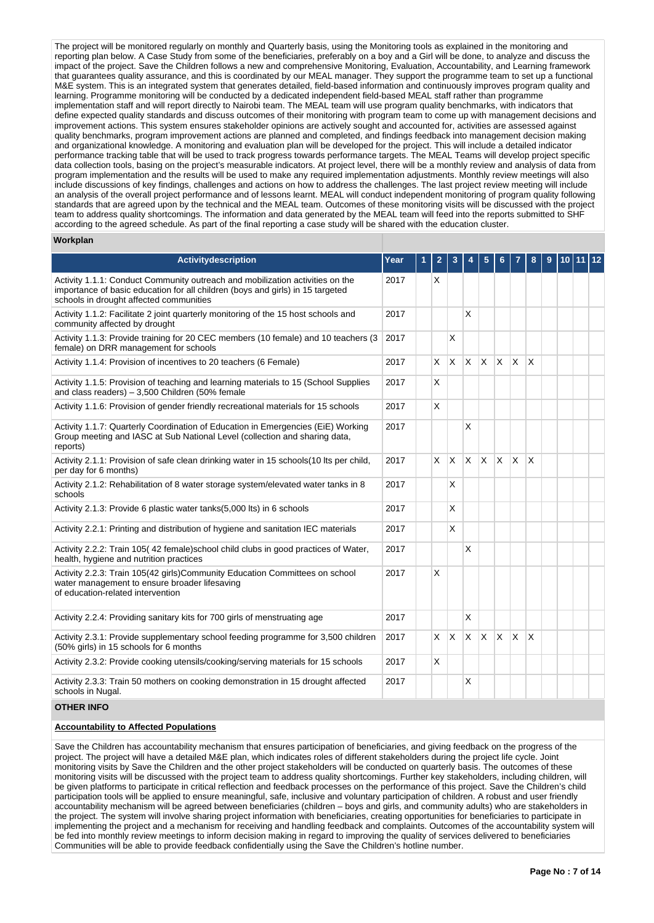The project will be monitored regularly on monthly and Quarterly basis, using the Monitoring tools as explained in the monitoring and reporting plan below. A Case Study from some of the beneficiaries, preferably on a boy and a Girl will be done, to analyze and discuss the impact of the project. Save the Children follows a new and comprehensive Monitoring, Evaluation, Accountability, and Learning framework that guarantees quality assurance, and this is coordinated by our MEAL manager. They support the programme team to set up a functional M&E system. This is an integrated system that generates detailed, field-based information and continuously improves program quality and learning. Programme monitoring will be conducted by a dedicated independent field-based MEAL staff rather than programme implementation staff and will report directly to Nairobi team. The MEAL team will use program quality benchmarks, with indicators that define expected quality standards and discuss outcomes of their monitoring with program team to come up with management decisions and improvement actions. This system ensures stakeholder opinions are actively sought and accounted for, activities are assessed against quality benchmarks, program improvement actions are planned and completed, and findings feedback into management decision making and organizational knowledge. A monitoring and evaluation plan will be developed for the project. This will include a detailed indicator performance tracking table that will be used to track progress towards performance targets. The MEAL Teams will develop project specific data collection tools, basing on the project's measurable indicators. At project level, there will be a monthly review and analysis of data from program implementation and the results will be used to make any required implementation adjustments. Monthly review meetings will also include discussions of key findings, challenges and actions on how to address the challenges. The last project review meeting will include an analysis of the overall project performance and of lessons learnt. MEAL will conduct independent monitoring of program quality following standards that are agreed upon by the technical and the MEAL team. Outcomes of these monitoring visits will be discussed with the project team to address quality shortcomings. The information and data generated by the MEAL team will feed into the reports submitted to SHF according to the agreed schedule. As part of the final reporting a case study will be shared with the education cluster.

#### **Workplan**

| <b>Activitydescription</b>                                                                                                                                                                                 | Year | 2        | 3                       |              |                 |              |                         | 8            | 9 | 10 | 12 |
|------------------------------------------------------------------------------------------------------------------------------------------------------------------------------------------------------------|------|----------|-------------------------|--------------|-----------------|--------------|-------------------------|--------------|---|----|----|
| Activity 1.1.1: Conduct Community outreach and mobilization activities on the<br>importance of basic education for all children (boys and girls) in 15 targeted<br>schools in drought affected communities | 2017 | X        |                         |              |                 |              |                         |              |   |    |    |
| Activity 1.1.2: Facilitate 2 joint quarterly monitoring of the 15 host schools and<br>community affected by drought                                                                                        | 2017 |          |                         | X            |                 |              |                         |              |   |    |    |
| Activity 1.1.3: Provide training for 20 CEC members (10 female) and 10 teachers (3<br>female) on DRR management for schools                                                                                | 2017 |          | $\overline{\mathsf{x}}$ |              |                 |              |                         |              |   |    |    |
| Activity 1.1.4: Provision of incentives to 20 teachers (6 Female)                                                                                                                                          | 2017 | X.       | <b>X</b>                | $\mathsf{X}$ | <b>X</b>        | $\mathsf{x}$ | <b>X</b>                | $\mathsf{x}$ |   |    |    |
| Activity 1.1.5: Provision of teaching and learning materials to 15 (School Supplies<br>and class readers) $-3,500$ Children (50% female                                                                    | 2017 | X        |                         |              |                 |              |                         |              |   |    |    |
| Activity 1.1.6: Provision of gender friendly recreational materials for 15 schools                                                                                                                         | 2017 | X        |                         |              |                 |              |                         |              |   |    |    |
| Activity 1.1.7: Quarterly Coordination of Education in Emergencies (EiE) Working<br>Group meeting and IASC at Sub National Level (collection and sharing data,<br>reports)                                 | 2017 |          |                         | X            |                 |              |                         |              |   |    |    |
| Activity 2.1.1: Provision of safe clean drinking water in 15 schools(10 lts per child,<br>per day for 6 months)                                                                                            | 2017 | X        | <sup>X</sup>            | ΙX.          | <sup>X</sup>    | X            | ΙX.                     | $\times$     |   |    |    |
| Activity 2.1.2: Rehabilitation of 8 water storage system/elevated water tanks in 8<br>schools                                                                                                              | 2017 |          | X                       |              |                 |              |                         |              |   |    |    |
| Activity 2.1.3: Provide 6 plastic water tanks(5,000 lts) in 6 schools                                                                                                                                      | 2017 |          | $\times$                |              |                 |              |                         |              |   |    |    |
| Activity 2.2.1: Printing and distribution of hygiene and sanitation IEC materials                                                                                                                          | 2017 |          | X                       |              |                 |              |                         |              |   |    |    |
| Activity 2.2.2: Train 105(42 female) school child clubs in good practices of Water,<br>health, hygiene and nutrition practices                                                                             | 2017 |          |                         | X            |                 |              |                         |              |   |    |    |
| Activity 2.2.3: Train 105(42 girls)Community Education Committees on school<br>water management to ensure broader lifesaving<br>of education-related intervention                                          | 2017 | X        |                         |              |                 |              |                         |              |   |    |    |
| Activity 2.2.4: Providing sanitary kits for 700 girls of menstruating age                                                                                                                                  | 2017 |          |                         | X            |                 |              |                         |              |   |    |    |
| Activity 2.3.1: Provide supplementary school feeding programme for 3,500 children<br>(50% girls) in 15 schools for 6 months                                                                                | 2017 | $\times$ | $\mathsf{X}$            | <b>X</b>     | $\mathsf{\chi}$ | X            | $\overline{\mathsf{x}}$ | $\times$     |   |    |    |
| Activity 2.3.2: Provide cooking utensils/cooking/serving materials for 15 schools                                                                                                                          | 2017 | X        |                         |              |                 |              |                         |              |   |    |    |
| Activity 2.3.3: Train 50 mothers on cooking demonstration in 15 drought affected<br>schools in Nugal.                                                                                                      | 2017 |          |                         | X            |                 |              |                         |              |   |    |    |

#### **OTHER INFO**

### **Accountability to Affected Populations**

Save the Children has accountability mechanism that ensures participation of beneficiaries, and giving feedback on the progress of the project. The project will have a detailed M&E plan, which indicates roles of different stakeholders during the project life cycle. Joint monitoring visits by Save the Children and the other project stakeholders will be conducted on quarterly basis. The outcomes of these monitoring visits will be discussed with the project team to address quality shortcomings. Further key stakeholders, including children, will be given platforms to participate in critical reflection and feedback processes on the performance of this project. Save the Children's child participation tools will be applied to ensure meaningful, safe, inclusive and voluntary participation of children. A robust and user friendly accountability mechanism will be agreed between beneficiaries (children – boys and girls, and community adults) who are stakeholders in the project. The system will involve sharing project information with beneficiaries, creating opportunities for beneficiaries to participate in implementing the project and a mechanism for receiving and handling feedback and complaints. Outcomes of the accountability system will be fed into monthly review meetings to inform decision making in regard to improving the quality of services delivered to beneficiaries Communities will be able to provide feedback confidentially using the Save the Children's hotline number.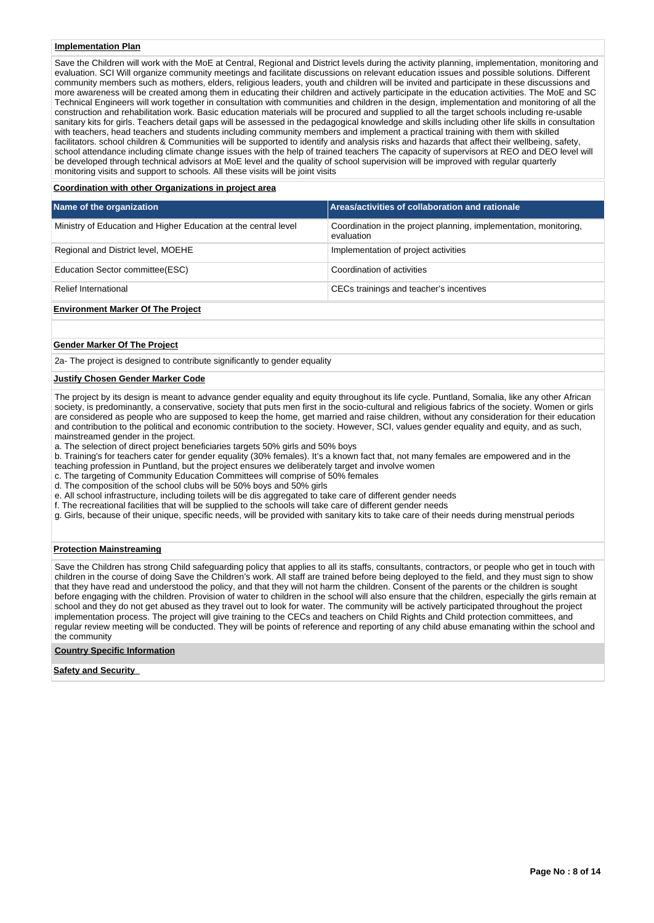#### **Implementation Plan**

Save the Children will work with the MoE at Central, Regional and District levels during the activity planning, implementation, monitoring and evaluation. SCI Will organize community meetings and facilitate discussions on relevant education issues and possible solutions. Different community members such as mothers, elders, religious leaders, youth and children will be invited and participate in these discussions and more awareness will be created among them in educating their children and actively participate in the education activities. The MoE and SC Technical Engineers will work together in consultation with communities and children in the design, implementation and monitoring of all the construction and rehabilitation work. Basic education materials will be procured and supplied to all the target schools including re-usable sanitary kits for girls. Teachers detail gaps will be assessed in the pedagogical knowledge and skills including other life skills in consultation with teachers, head teachers and students including community members and implement a practical training with them with skilled facilitators. school children & Communities will be supported to identify and analysis risks and hazards that affect their wellbeing, safety, school attendance including climate change issues with the help of trained teachers The capacity of supervisors at REO and DEO level will be developed through technical advisors at MoE level and the quality of school supervision will be improved with regular quarterly monitoring visits and support to schools. All these visits will be joint visits

#### **Coordination with other Organizations in project area**

| Name of the organization                                        | Areas/activities of collaboration and rationale                                 |
|-----------------------------------------------------------------|---------------------------------------------------------------------------------|
| Ministry of Education and Higher Education at the central level | Coordination in the project planning, implementation, monitoring,<br>evaluation |
| Regional and District level, MOEHE                              | Implementation of project activities                                            |
| Education Sector committee (ESC)                                | Coordination of activities                                                      |
| Relief International                                            | CECs trainings and teacher's incentives                                         |
| <b>Environment Marker Of The Project</b>                        |                                                                                 |

#### **Gender Marker Of The Project**

2a- The project is designed to contribute significantly to gender equality

#### **Justify Chosen Gender Marker Code**

The project by its design is meant to advance gender equality and equity throughout its life cycle. Puntland, Somalia, like any other African society, is predominantly, a conservative, society that puts men first in the socio-cultural and religious fabrics of the society. Women or girls are considered as people who are supposed to keep the home, get married and raise children, without any consideration for their education and contribution to the political and economic contribution to the society. However, SCI, values gender equality and equity, and as such, mainstreamed gender in the project.

a. The selection of direct project beneficiaries targets 50% girls and 50% boys

b. Training's for teachers cater for gender equality (30% females). It's a known fact that, not many females are empowered and in the teaching profession in Puntland, but the project ensures we deliberately target and involve women

c. The targeting of Community Education Committees will comprise of 50% females

d. The composition of the school clubs will be 50% boys and 50% girls

e. All school infrastructure, including toilets will be dis aggregated to take care of different gender needs

f. The recreational facilities that will be supplied to the schools will take care of different gender needs

g. Girls, because of their unique, specific needs, will be provided with sanitary kits to take care of their needs during menstrual periods

#### **Protection Mainstreaming**

Save the Children has strong Child safeguarding policy that applies to all its staffs, consultants, contractors, or people who get in touch with children in the course of doing Save the Children's work. All staff are trained before being deployed to the field, and they must sign to show that they have read and understood the policy, and that they will not harm the children. Consent of the parents or the children is sought before engaging with the children. Provision of water to children in the school will also ensure that the children, especially the girls remain at school and they do not get abused as they travel out to look for water. The community will be actively participated throughout the project implementation process. The project will give training to the CECs and teachers on Child Rights and Child protection committees, and regular review meeting will be conducted. They will be points of reference and reporting of any child abuse emanating within the school and the community

#### **Country Specific Information**

#### **Safety and Security**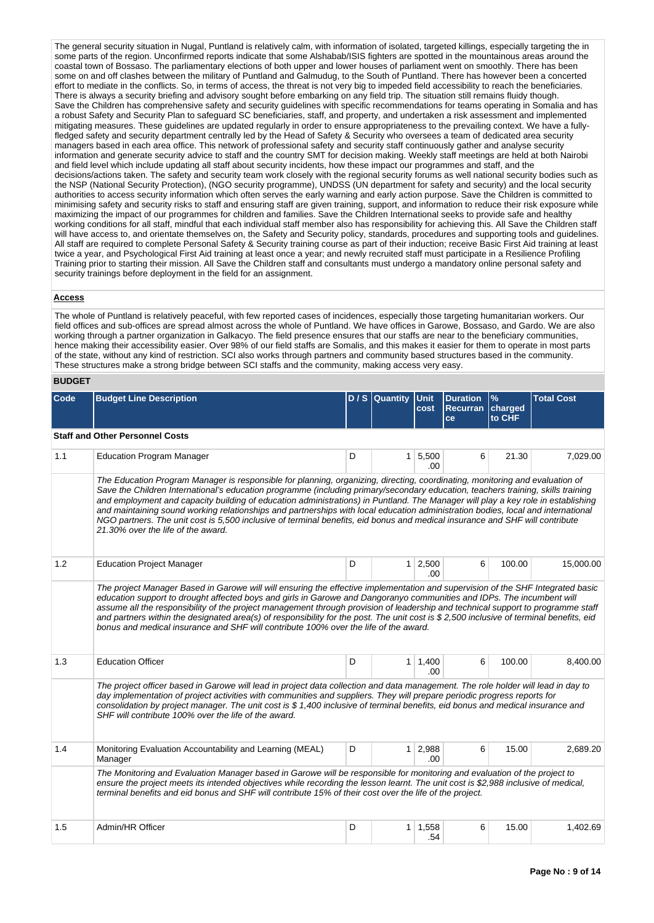The general security situation in Nugal, Puntland is relatively calm, with information of isolated, targeted killings, especially targeting the in some parts of the region. Unconfirmed reports indicate that some Alshabab/ISIS fighters are spotted in the mountainous areas around the coastal town of Bossaso. The parliamentary elections of both upper and lower houses of parliament went on smoothly. There has been some on and off clashes between the military of Puntland and Galmudug, to the South of Puntland. There has however been a concerted effort to mediate in the conflicts. So, in terms of access, the threat is not very big to impeded field accessibility to reach the beneficiaries. There is always a security briefing and advisory sought before embarking on any field trip. The situation still remains fluidy though. Save the Children has comprehensive safety and security guidelines with specific recommendations for teams operating in Somalia and has a robust Safety and Security Plan to safeguard SC beneficiaries, staff, and property, and undertaken a risk assessment and implemented mitigating measures. These guidelines are updated regularly in order to ensure appropriateness to the prevailing context. We have a fullyfledged safety and security department centrally led by the Head of Safety & Security who oversees a team of dedicated area security managers based in each area office. This network of professional safety and security staff continuously gather and analyse security information and generate security advice to staff and the country SMT for decision making. Weekly staff meetings are held at both Nairobi and field level which include updating all staff about security incidents, how these impact our programmes and staff, and the decisions/actions taken. The safety and security team work closely with the regional security forums as well national security bodies such as the NSP (National Security Protection), (NGO security programme), UNDSS (UN department for safety and security) and the local security authorities to access security information which often serves the early warning and early action purpose. Save the Children is committed to minimising safety and security risks to staff and ensuring staff are given training, support, and information to reduce their risk exposure while maximizing the impact of our programmes for children and families. Save the Children International seeks to provide safe and healthy working conditions for all staff, mindful that each individual staff member also has responsibility for achieving this. All Save the Children staff will have access to, and orientate themselves on, the Safety and Security policy, standards, procedures and supporting tools and guidelines. All staff are required to complete Personal Safety & Security training course as part of their induction; receive Basic First Aid training at least twice a year, and Psychological First Aid training at least once a year; and newly recruited staff must participate in a Resilience Profiling Training prior to starting their mission. All Save the Children staff and consultants must undergo a mandatory online personal safety and security trainings before deployment in the field for an assignment.

#### **Access**

The whole of Puntland is relatively peaceful, with few reported cases of incidences, especially those targeting humanitarian workers. Our field offices and sub-offices are spread almost across the whole of Puntland. We have offices in Garowe, Bossaso, and Gardo. We are also working through a partner organization in Galkacyo. The field presence ensures that our staffs are near to the beneficiary communities, hence making their accessibility easier. Over 98% of our field staffs are Somalis, and this makes it easier for them to operate in most parts of the state, without any kind of restriction. SCI also works through partners and community based structures based in the community. These structures make a strong bridge between SCI staffs and the community, making access very easy.

#### **BUDGET**

| Code | <b>Budget Line Description</b>                                                                                                                                                                                                                                                                                                                                                                                                                                                                                                                                                                                                                                                                                 |   | D / S Quantity | <b>Unit</b><br>cost   | <b>Duration</b><br><b>Recurran</b><br>ce | $\mathsf{P}'$<br>charged<br>to CHF | <b>Total Cost</b> |  |  |  |  |  |  |  |
|------|----------------------------------------------------------------------------------------------------------------------------------------------------------------------------------------------------------------------------------------------------------------------------------------------------------------------------------------------------------------------------------------------------------------------------------------------------------------------------------------------------------------------------------------------------------------------------------------------------------------------------------------------------------------------------------------------------------------|---|----------------|-----------------------|------------------------------------------|------------------------------------|-------------------|--|--|--|--|--|--|--|
|      | <b>Staff and Other Personnel Costs</b>                                                                                                                                                                                                                                                                                                                                                                                                                                                                                                                                                                                                                                                                         |   |                |                       |                                          |                                    |                   |  |  |  |  |  |  |  |
| 1.1  | <b>Education Program Manager</b>                                                                                                                                                                                                                                                                                                                                                                                                                                                                                                                                                                                                                                                                               | D |                | 1   5,500<br>.00      | 6                                        | 21.30                              | 7,029.00          |  |  |  |  |  |  |  |
|      | The Education Program Manager is responsible for planning, organizing, directing, coordinating, monitoring and evaluation of<br>Save the Children International's education programme (including primary/secondary education, teachers training, skills training<br>and employment and capacity building of education administrations) in Puntland. The Manager will play a key role in establishing<br>and maintaining sound working relationships and partnerships with local education administration bodies, local and international<br>NGO partners. The unit cost is 5,500 inclusive of terminal benefits, eid bonus and medical insurance and SHF will contribute<br>21.30% over the life of the award. |   |                |                       |                                          |                                    |                   |  |  |  |  |  |  |  |
| 1.2  | <b>Education Project Manager</b>                                                                                                                                                                                                                                                                                                                                                                                                                                                                                                                                                                                                                                                                               | D |                | $1 \ 2,500$<br>.00    | 6                                        | 100.00                             | 15,000.00         |  |  |  |  |  |  |  |
|      | The project Manager Based in Garowe will will ensuring the effective implementation and supervision of the SHF Integrated basic<br>education support to drought affected boys and girls in Garowe and Dangoranyo communities and IDPs. The incumbent will<br>assume all the responsibility of the project management through provision of leadership and technical support to programme staff<br>and partners within the designated area(s) of responsibility for the post. The unit cost is \$2,500 inclusive of terminal benefits, eid<br>bonus and medical insurance and SHF will contribute 100% over the life of the award.                                                                               |   |                |                       |                                          |                                    |                   |  |  |  |  |  |  |  |
| 1.3  | <b>Education Officer</b>                                                                                                                                                                                                                                                                                                                                                                                                                                                                                                                                                                                                                                                                                       | D |                | $1 \mid 1,400$<br>.00 | 6                                        | 100.00                             | 8,400.00          |  |  |  |  |  |  |  |
|      | The project officer based in Garowe will lead in project data collection and data management. The role holder will lead in day to<br>day implementation of project activities with communities and suppliers. They will prepare periodic progress reports for<br>consolidation by project manager. The unit cost is \$1,400 inclusive of terminal benefits, eid bonus and medical insurance and<br>SHF will contribute 100% over the life of the award.                                                                                                                                                                                                                                                        |   |                |                       |                                          |                                    |                   |  |  |  |  |  |  |  |
| 1.4  | Monitoring Evaluation Accountability and Learning (MEAL)<br>Manager                                                                                                                                                                                                                                                                                                                                                                                                                                                                                                                                                                                                                                            | D |                | $1 \mid 2,988$<br>-00 | 6                                        | 15.00                              | 2,689.20          |  |  |  |  |  |  |  |
|      | The Monitoring and Evaluation Manager based in Garowe will be responsible for monitoring and evaluation of the project to<br>ensure the project meets its intended objectives while recording the lesson learnt. The unit cost is \$2,988 inclusive of medical,<br>terminal benefits and eid bonus and SHF will contribute 15% of their cost over the life of the project.                                                                                                                                                                                                                                                                                                                                     |   |                |                       |                                          |                                    |                   |  |  |  |  |  |  |  |
| 1.5  | Admin/HR Officer                                                                                                                                                                                                                                                                                                                                                                                                                                                                                                                                                                                                                                                                                               | D | 1 <sup>1</sup> | 1,558<br>.54          | 6                                        | 15.00                              | 1,402.69          |  |  |  |  |  |  |  |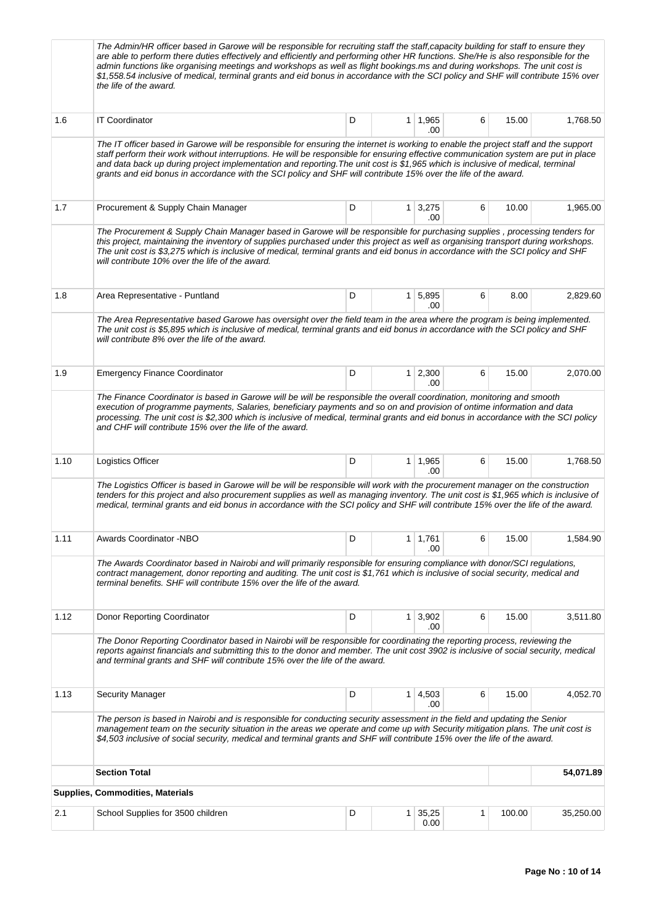|      | The Admin/HR officer based in Garowe will be responsible for recruiting staff the staff,capacity building for staff to ensure they<br>are able to perform there duties effectively and efficiently and performing other HR functions. She/He is also responsible for the<br>admin functions like organising meetings and workshops as well as flight bookings.ms and during workshops. The unit cost is<br>\$1,558.54 inclusive of medical, terminal grants and eid bonus in accordance with the SCI policy and SHF will contribute 15% over<br>the life of the award. |                                                                                                                                                                                                                                                                                                                                                                                          |                |                       |   |        |           |
|------|------------------------------------------------------------------------------------------------------------------------------------------------------------------------------------------------------------------------------------------------------------------------------------------------------------------------------------------------------------------------------------------------------------------------------------------------------------------------------------------------------------------------------------------------------------------------|------------------------------------------------------------------------------------------------------------------------------------------------------------------------------------------------------------------------------------------------------------------------------------------------------------------------------------------------------------------------------------------|----------------|-----------------------|---|--------|-----------|
| 1.6  | <b>IT Coordinator</b>                                                                                                                                                                                                                                                                                                                                                                                                                                                                                                                                                  | D                                                                                                                                                                                                                                                                                                                                                                                        | 1 <sup>1</sup> | 1,965<br>.00          | 6 | 15.00  | 1,768.50  |
|      | The IT officer based in Garowe will be responsible for ensuring the internet is working to enable the project staff and the support<br>staff perform their work without interruptions. He will be responsible for ensuring effective communication system are put in place<br>and data back up during project implementation and reporting. The unit cost is \$1,965 which is inclusive of medical, terminal<br>grants and eid bonus in accordance with the SCI policy and SHF will contribute 15% over the life of the award.                                         |                                                                                                                                                                                                                                                                                                                                                                                          |                |                       |   |        |           |
| 1.7  | Procurement & Supply Chain Manager                                                                                                                                                                                                                                                                                                                                                                                                                                                                                                                                     | D                                                                                                                                                                                                                                                                                                                                                                                        |                | $1 \mid 3,275$<br>.00 | 6 | 10.00  | 1,965.00  |
|      | The Procurement & Supply Chain Manager based in Garowe will be responsible for purchasing supplies, processing tenders for<br>this project, maintaining the inventory of supplies purchased under this project as well as organising transport during workshops.<br>The unit cost is \$3.275 which is inclusive of medical, terminal grants and eid bonus in accordance with the SCI policy and SHF<br>will contribute 10% over the life of the award.                                                                                                                 |                                                                                                                                                                                                                                                                                                                                                                                          |                |                       |   |        |           |
| 1.8  | Area Representative - Puntland                                                                                                                                                                                                                                                                                                                                                                                                                                                                                                                                         | D                                                                                                                                                                                                                                                                                                                                                                                        |                | 1 5,895<br>.00        | 6 | 8.00   | 2,829.60  |
|      | The Area Representative based Garowe has oversight over the field team in the area where the program is being implemented.<br>The unit cost is \$5,895 which is inclusive of medical, terminal grants and eid bonus in accordance with the SCI policy and SHF<br>will contribute 8% over the life of the award.                                                                                                                                                                                                                                                        |                                                                                                                                                                                                                                                                                                                                                                                          |                |                       |   |        |           |
| 1.9  | <b>Emergency Finance Coordinator</b>                                                                                                                                                                                                                                                                                                                                                                                                                                                                                                                                   | D                                                                                                                                                                                                                                                                                                                                                                                        |                | $1 \mid 2,300$<br>.00 | 6 | 15.00  | 2,070.00  |
|      | The Finance Coordinator is based in Garowe will be will be responsible the overall coordination, monitoring and smooth<br>execution of programme payments, Salaries, beneficiary payments and so on and provision of ontime information and data<br>processing. The unit cost is \$2,300 which is inclusive of medical, terminal grants and eid bonus in accordance with the SCI policy<br>and CHF will contribute 15% over the life of the award.                                                                                                                     |                                                                                                                                                                                                                                                                                                                                                                                          |                |                       |   |        |           |
| 1.10 | Logistics Officer                                                                                                                                                                                                                                                                                                                                                                                                                                                                                                                                                      | D                                                                                                                                                                                                                                                                                                                                                                                        |                | $1 \mid 1,965$<br>.00 | 6 | 15.00  | 1,768.50  |
|      | The Logistics Officer is based in Garowe will be will be responsible will work with the procurement manager on the construction<br>tenders for this project and also procurement supplies as well as managing inventory. The unit cost is \$1,965 which is inclusive of<br>medical, terminal grants and eid bonus in accordance with the SCI policy and SHF will contribute 15% over the life of the award.                                                                                                                                                            |                                                                                                                                                                                                                                                                                                                                                                                          |                |                       |   |        |           |
| 1.11 | Awards Coordinator -NBO                                                                                                                                                                                                                                                                                                                                                                                                                                                                                                                                                | D                                                                                                                                                                                                                                                                                                                                                                                        |                | $1 \mid 1,761$<br>.00 | 6 | 15.00  | 1,584.90  |
|      | The Awards Coordinator based in Nairobi and will primarily responsible for ensuring compliance with donor/SCI regulations,<br>contract management, donor reporting and auditing. The unit cost is \$1,761 which is inclusive of social security, medical and<br>terminal benefits. SHF will contribute 15% over the life of the award.                                                                                                                                                                                                                                 |                                                                                                                                                                                                                                                                                                                                                                                          |                |                       |   |        |           |
| 1.12 | Donor Reporting Coordinator                                                                                                                                                                                                                                                                                                                                                                                                                                                                                                                                            | D                                                                                                                                                                                                                                                                                                                                                                                        |                | $1 \mid 3,902$<br>.00 | 6 | 15.00  | 3,511.80  |
|      | The Donor Reporting Coordinator based in Nairobi will be responsible for coordinating the reporting process, reviewing the<br>reports against financials and submitting this to the donor and member. The unit cost 3902 is inclusive of social security, medical<br>and terminal grants and SHF will contribute 15% over the life of the award.                                                                                                                                                                                                                       |                                                                                                                                                                                                                                                                                                                                                                                          |                |                       |   |        |           |
| 1.13 | <b>Security Manager</b>                                                                                                                                                                                                                                                                                                                                                                                                                                                                                                                                                | D                                                                                                                                                                                                                                                                                                                                                                                        |                | $1 \mid 4,503$<br>.00 | 6 | 15.00  | 4,052.70  |
|      |                                                                                                                                                                                                                                                                                                                                                                                                                                                                                                                                                                        | The person is based in Nairobi and is responsible for conducting security assessment in the field and updating the Senior<br>management team on the security situation in the areas we operate and come up with Security mitigation plans. The unit cost is<br>\$4,503 inclusive of social security, medical and terminal grants and SHF will contribute 15% over the life of the award. |                |                       |   |        |           |
|      | <b>Section Total</b>                                                                                                                                                                                                                                                                                                                                                                                                                                                                                                                                                   |                                                                                                                                                                                                                                                                                                                                                                                          |                |                       |   |        | 54,071.89 |
|      | <b>Supplies, Commodities, Materials</b>                                                                                                                                                                                                                                                                                                                                                                                                                                                                                                                                |                                                                                                                                                                                                                                                                                                                                                                                          |                |                       |   |        |           |
| 2.1  | School Supplies for 3500 children                                                                                                                                                                                                                                                                                                                                                                                                                                                                                                                                      | D                                                                                                                                                                                                                                                                                                                                                                                        | 1 <sup>1</sup> | 35,25<br>0.00         | 1 | 100.00 | 35,250.00 |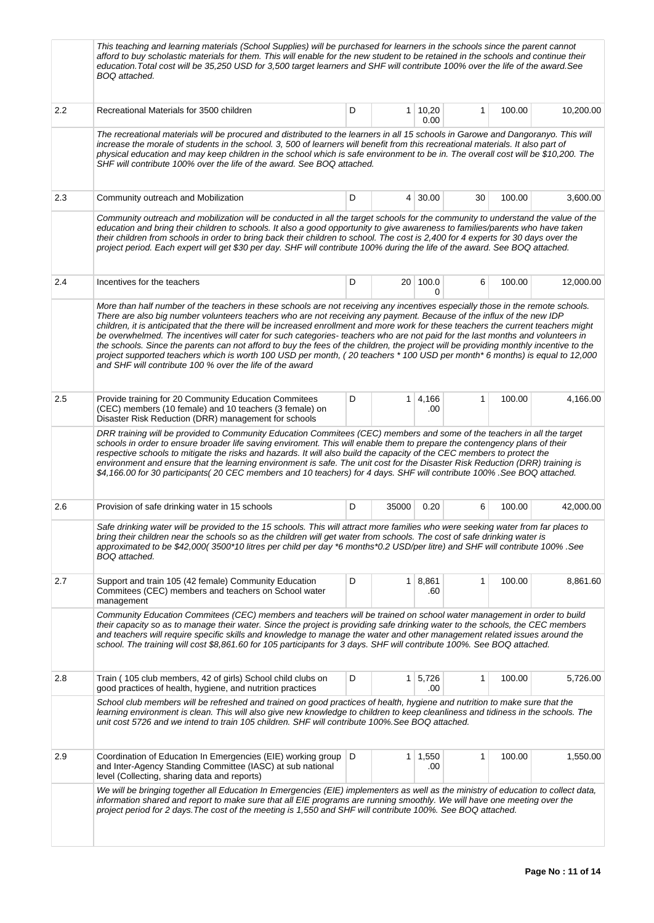|     | This teaching and learning materials (School Supplies) will be purchased for learners in the schools since the parent cannot<br>afford to buy scholastic materials for them. This will enable for the new student to be retained in the schools and continue their<br>education. Total cost will be 35,250 USD for 3,500 target learners and SHF will contribute 100% over the life of the award. See<br>BOQ attached.                                                                                                                                                                                                                                                                                                                                                                                                                                                |   |                |                      |              |        |           |  |
|-----|-----------------------------------------------------------------------------------------------------------------------------------------------------------------------------------------------------------------------------------------------------------------------------------------------------------------------------------------------------------------------------------------------------------------------------------------------------------------------------------------------------------------------------------------------------------------------------------------------------------------------------------------------------------------------------------------------------------------------------------------------------------------------------------------------------------------------------------------------------------------------|---|----------------|----------------------|--------------|--------|-----------|--|
| 2.2 | Recreational Materials for 3500 children                                                                                                                                                                                                                                                                                                                                                                                                                                                                                                                                                                                                                                                                                                                                                                                                                              | D | 1 <sup>1</sup> | 10,20<br>0.00        | $\mathbf{1}$ | 100.00 | 10,200.00 |  |
|     | The recreational materials will be procured and distributed to the learners in all 15 schools in Garowe and Dangoranyo. This will<br>increase the morale of students in the school. 3, 500 of learners will benefit from this recreational materials. It also part of<br>physical education and may keep children in the school which is safe environment to be in. The overall cost will be \$10,200. The<br>SHF will contribute 100% over the life of the award. See BOQ attached.                                                                                                                                                                                                                                                                                                                                                                                  |   |                |                      |              |        |           |  |
| 2.3 | Community outreach and Mobilization                                                                                                                                                                                                                                                                                                                                                                                                                                                                                                                                                                                                                                                                                                                                                                                                                                   | D |                | $4 \mid 30.00$       | 30           | 100.00 | 3,600.00  |  |
|     | Community outreach and mobilization will be conducted in all the target schools for the community to understand the value of the<br>education and bring their children to schools. It also a good opportunity to give awareness to families/parents who have taken<br>their children from schools in order to bring back their children to school. The cost is 2,400 for 4 experts for 30 days over the<br>project period. Each expert will get \$30 per day. SHF will contribute 100% during the life of the award. See BOQ attached.                                                                                                                                                                                                                                                                                                                                |   |                |                      |              |        |           |  |
| 2.4 | Incentives for the teachers                                                                                                                                                                                                                                                                                                                                                                                                                                                                                                                                                                                                                                                                                                                                                                                                                                           | D |                | 20 100.0<br>$\Omega$ | 6            | 100.00 | 12,000.00 |  |
|     | More than half number of the teachers in these schools are not receiving any incentives especially those in the remote schools.<br>There are also big number volunteers teachers who are not receiving any payment. Because of the influx of the new IDP<br>children, it is anticipated that the there will be increased enrollment and more work for these teachers the current teachers might<br>be overwhelmed. The incentives will cater for such categories- teachers who are not paid for the last months and volunteers in<br>the schools. Since the parents can not afford to buy the fees of the children, the project will be providing monthly incentive to the<br>project supported teachers which is worth 100 USD per month, (20 teachers * 100 USD per month* 6 months) is equal to 12,000<br>and SHF will contribute 100 % over the life of the award |   |                |                      |              |        |           |  |
| 2.5 | Provide training for 20 Community Education Commitees<br>(CEC) members (10 female) and 10 teachers (3 female) on<br>Disaster Risk Reduction (DRR) management for schools                                                                                                                                                                                                                                                                                                                                                                                                                                                                                                                                                                                                                                                                                              | D | 1 <sup>1</sup> | 4,166<br>.00         | $\mathbf{1}$ | 100.00 | 4,166.00  |  |
|     | DRR training will be provided to Community Education Commitees (CEC) members and some of the teachers in all the target<br>schools in order to ensure broader life saving enviroment. This will enable them to prepare the contengency plans of their<br>respective schools to mitigate the risks and hazards. It will also build the capacity of the CEC members to protect the<br>environment and ensure that the learning environment is safe. The unit cost for the Disaster Risk Reduction (DRR) training is<br>\$4,166.00 for 30 participants(20 CEC members and 10 teachers) for 4 days. SHF will contribute 100% .See BOQ attached.                                                                                                                                                                                                                           |   |                |                      |              |        |           |  |
| 2.6 | Provision of safe drinking water in 15 schools                                                                                                                                                                                                                                                                                                                                                                                                                                                                                                                                                                                                                                                                                                                                                                                                                        | D | 35000          | 0.20                 | 6            | 100.00 | 42,000.00 |  |
|     | Safe drinking water will be provided to the 15 schools. This will attract more families who were seeking water from far places to<br>bring their children near the schools so as the children will get water from schools. The cost of safe drinking water is<br>approximated to be \$42,000(3500*10 litres per child per day *6 months*0.2 USD/per litre) and SHF will contribute 100% .See<br>BOQ attached.                                                                                                                                                                                                                                                                                                                                                                                                                                                         |   |                |                      |              |        |           |  |
| 2.7 | Support and train 105 (42 female) Community Education<br>Commitees (CEC) members and teachers on School water<br>management                                                                                                                                                                                                                                                                                                                                                                                                                                                                                                                                                                                                                                                                                                                                           | D | 1 <sup>1</sup> | 8,861<br>.60         | 1            | 100.00 | 8,861.60  |  |
|     | Community Education Commitees (CEC) members and teachers will be trained on school water management in order to build<br>their capacity so as to manage their water. Since the project is providing safe drinking water to the schools, the CEC members<br>and teachers will require specific skills and knowledge to manage the water and other management related issues around the<br>school. The training will cost \$8,861.60 for 105 participants for 3 days. SHF will contribute 100%. See BOQ attached.                                                                                                                                                                                                                                                                                                                                                       |   |                |                      |              |        |           |  |
| 2.8 | Train (105 club members, 42 of girls) School child clubs on<br>good practices of health, hygiene, and nutrition practices                                                                                                                                                                                                                                                                                                                                                                                                                                                                                                                                                                                                                                                                                                                                             | D |                | 1 5,726<br>.00       | 1            | 100.00 | 5,726.00  |  |
|     | School club members will be refreshed and trained on good practices of health, hygiene and nutrition to make sure that the<br>learning environment is clean. This will also give new knowledge to children to keep cleanliness and tidiness in the schools. The<br>unit cost 5726 and we intend to train 105 children. SHF will contribute 100%. See BOQ attached.                                                                                                                                                                                                                                                                                                                                                                                                                                                                                                    |   |                |                      |              |        |           |  |
| 2.9 | Coordination of Education In Emergencies (EIE) working group<br>and Inter-Agency Standing Committee (IASC) at sub national<br>level (Collecting, sharing data and reports)                                                                                                                                                                                                                                                                                                                                                                                                                                                                                                                                                                                                                                                                                            | D | 1              | 1,550<br>.00         | 1            | 100.00 | 1,550.00  |  |
|     | We will be bringing together all Education In Emergencies (EIE) implementers as well as the ministry of education to collect data,<br>information shared and report to make sure that all EIE programs are running smoothly. We will have one meeting over the<br>project period for 2 days. The cost of the meeting is 1,550 and SHF will contribute 100%. See BOQ attached.                                                                                                                                                                                                                                                                                                                                                                                                                                                                                         |   |                |                      |              |        |           |  |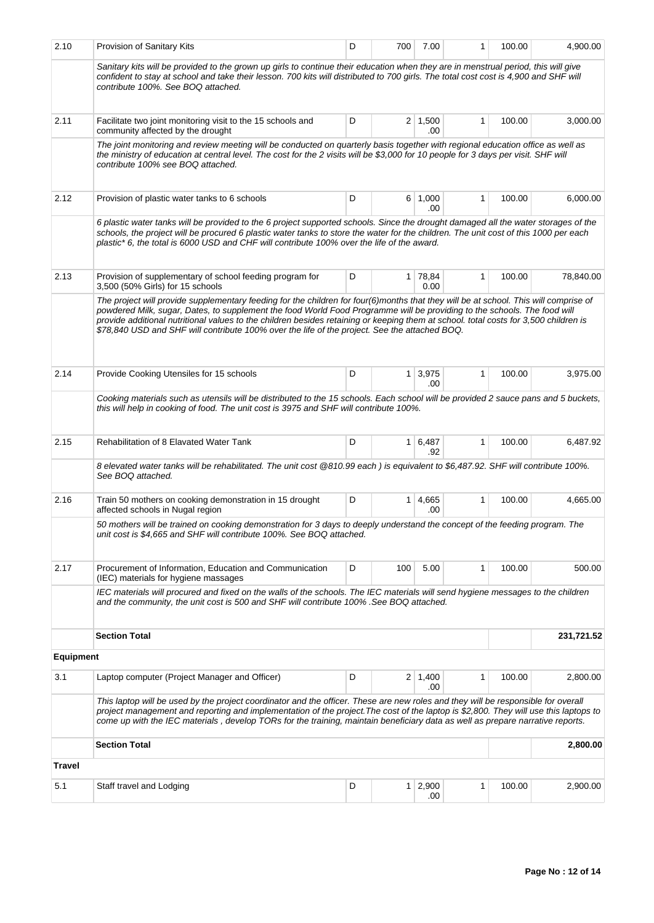| 2.10             | Provision of Sanitary Kits                                                                                                                                                                                                                                                                                                                                                                                                                                                                                | D | 700            | 7.00                   | 1            | 100.00 | 4,900.00   |  |
|------------------|-----------------------------------------------------------------------------------------------------------------------------------------------------------------------------------------------------------------------------------------------------------------------------------------------------------------------------------------------------------------------------------------------------------------------------------------------------------------------------------------------------------|---|----------------|------------------------|--------------|--------|------------|--|
|                  | Sanitary kits will be provided to the grown up girls to continue their education when they are in menstrual period, this will give<br>confident to stay at school and take their lesson. 700 kits will distributed to 700 girls. The total cost cost is 4,900 and SHF will<br>contribute 100%. See BOQ attached.                                                                                                                                                                                          |   |                |                        |              |        |            |  |
| 2.11             | Facilitate two joint monitoring visit to the 15 schools and<br>community affected by the drought                                                                                                                                                                                                                                                                                                                                                                                                          | D |                | $2 \mid 1,500$<br>.00  | 1            | 100.00 | 3,000.00   |  |
|                  | The joint monitoring and review meeting will be conducted on quarterly basis together with regional education office as well as<br>the ministry of education at central level. The cost for the 2 visits will be \$3,000 for 10 people for 3 days per visit. SHF will<br>contribute 100% see BOQ attached.                                                                                                                                                                                                |   |                |                        |              |        |            |  |
| 2.12             | Provision of plastic water tanks to 6 schools                                                                                                                                                                                                                                                                                                                                                                                                                                                             | D |                | 6 1,000<br>.00         | 1            | 100.00 | 6,000.00   |  |
|                  | 6 plastic water tanks will be provided to the 6 project supported schools. Since the drought damaged all the water storages of the<br>schools, the project will be procured 6 plastic water tanks to store the water for the children. The unit cost of this 1000 per each<br>plastic* 6, the total is 6000 USD and CHF will contribute 100% over the life of the award.                                                                                                                                  |   |                |                        |              |        |            |  |
| 2.13             | Provision of supplementary of school feeding program for<br>3,500 (50% Girls) for 15 schools                                                                                                                                                                                                                                                                                                                                                                                                              | D | 1 <sup>1</sup> | 78,84<br>0.00          | 1            | 100.00 | 78,840.00  |  |
|                  | The project will provide supplementary feeding for the children for four(6)months that they will be at school. This will comprise of<br>powdered Milk, sugar, Dates, to supplement the food World Food Programme will be providing to the schools. The food will<br>provide additional nutritional values to the children besides retaining or keeping them at school. total costs for 3,500 children is<br>\$78,840 USD and SHF will contribute 100% over the life of the project. See the attached BOQ. |   |                |                        |              |        |            |  |
| 2.14             | Provide Cooking Utensiles for 15 schools                                                                                                                                                                                                                                                                                                                                                                                                                                                                  | D |                | $1 \mid 3,975$<br>.00  | $\mathbf{1}$ | 100.00 | 3,975.00   |  |
|                  | Cooking materials such as utensils will be distributed to the 15 schools. Each school will be provided 2 sauce pans and 5 buckets,<br>this will help in cooking of food. The unit cost is 3975 and SHF will contribute 100%.                                                                                                                                                                                                                                                                              |   |                |                        |              |        |            |  |
| 2.15             | Rehabilitation of 8 Elavated Water Tank                                                                                                                                                                                                                                                                                                                                                                                                                                                                   | D |                | $1 \vert 6,487$<br>.92 | 1            | 100.00 | 6,487.92   |  |
|                  | 8 elevated water tanks will be rehabilitated. The unit cost @810.99 each) is equivalent to \$6,487.92. SHF will contribute 100%.<br>See BOQ attached.                                                                                                                                                                                                                                                                                                                                                     |   |                |                        |              |        |            |  |
| 2.16             | Train 50 mothers on cooking demonstration in 15 drought<br>affected schools in Nugal region                                                                                                                                                                                                                                                                                                                                                                                                               | D | 1 <sup>1</sup> | 4,665<br>.00           | 1            | 100.00 | 4.665.00   |  |
|                  | 50 mothers will be trained on cooking demonstration for 3 days to deeply understand the concept of the feeding program. The<br>unit cost is \$4,665 and SHF will contribute 100%. See BOQ attached.                                                                                                                                                                                                                                                                                                       |   |                |                        |              |        |            |  |
| 2.17             | Procurement of Information, Education and Communication<br>(IEC) materials for hygiene massages                                                                                                                                                                                                                                                                                                                                                                                                           | D | 100            | 5.00                   | 1            | 100.00 | 500.00     |  |
|                  | IEC materials will procured and fixed on the walls of the schools. The IEC materials will send hygiene messages to the children<br>and the community, the unit cost is 500 and SHF will contribute 100% .See BOQ attached.                                                                                                                                                                                                                                                                                |   |                |                        |              |        |            |  |
|                  | <b>Section Total</b>                                                                                                                                                                                                                                                                                                                                                                                                                                                                                      |   |                |                        |              |        | 231,721.52 |  |
| <b>Equipment</b> |                                                                                                                                                                                                                                                                                                                                                                                                                                                                                                           |   |                |                        |              |        |            |  |
| 3.1              | Laptop computer (Project Manager and Officer)                                                                                                                                                                                                                                                                                                                                                                                                                                                             | D |                | $2 \mid 1,400$<br>.00  | 1            | 100.00 | 2,800.00   |  |
|                  | This laptop will be used by the project coordinator and the officer. These are new roles and they will be responsible for overall<br>project management and reporting and implementation of the project. The cost of the laptop is \$2,800. They will use this laptops to<br>come up with the IEC materials, develop TORs for the training, maintain beneficiary data as well as prepare narrative reports.                                                                                               |   |                |                        |              |        |            |  |
|                  | <b>Section Total</b>                                                                                                                                                                                                                                                                                                                                                                                                                                                                                      |   |                |                        |              |        | 2,800.00   |  |
| <b>Travel</b>    |                                                                                                                                                                                                                                                                                                                                                                                                                                                                                                           |   |                |                        |              |        |            |  |
| 5.1              | Staff travel and Lodging                                                                                                                                                                                                                                                                                                                                                                                                                                                                                  | D | 1 <sup>1</sup> | 2,900<br>.00           | 1            | 100.00 | 2,900.00   |  |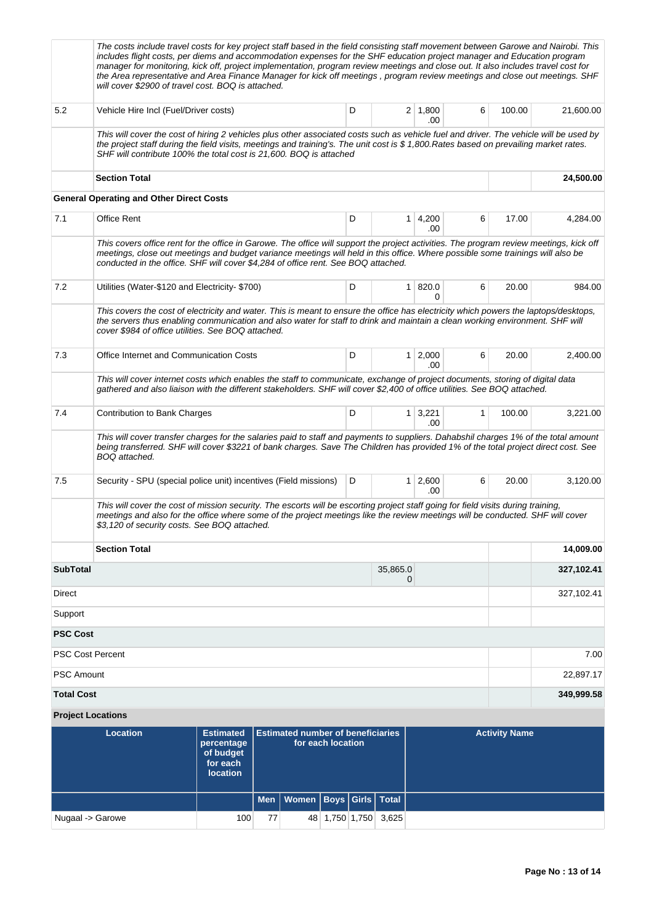|                   | The costs include travel costs for key project staff based in the field consisting staff movement between Garowe and Nairobi. This<br>includes flight costs, per diems and accommodation expenses for the SHF education project manager and Education program<br>manager for monitoring, kick off, project implementation, program review meetings and close out. It also includes travel cost for<br>the Area representative and Area Finance Manager for kick off meetings, program review meetings and close out meetings. SHF<br>will cover \$2900 of travel cost. BOQ is attached. |                                                                            |            |                                          |                   |   |                      |                       |   |                      |            |
|-------------------|-----------------------------------------------------------------------------------------------------------------------------------------------------------------------------------------------------------------------------------------------------------------------------------------------------------------------------------------------------------------------------------------------------------------------------------------------------------------------------------------------------------------------------------------------------------------------------------------|----------------------------------------------------------------------------|------------|------------------------------------------|-------------------|---|----------------------|-----------------------|---|----------------------|------------|
| 5.2               | Vehicle Hire Incl (Fuel/Driver costs)                                                                                                                                                                                                                                                                                                                                                                                                                                                                                                                                                   |                                                                            |            |                                          |                   | D |                      | $2 \mid 1,800$<br>.00 | 6 | 100.00               | 21,600.00  |
|                   | This will cover the cost of hiring 2 vehicles plus other associated costs such as vehicle fuel and driver. The vehicle will be used by<br>the project staff during the field visits, meetings and training's. The unit cost is \$1,800. Rates based on prevailing market rates.<br>SHF will contribute 100% the total cost is 21,600. BOQ is attached                                                                                                                                                                                                                                   |                                                                            |            |                                          |                   |   |                      |                       |   |                      |            |
|                   | <b>Section Total</b>                                                                                                                                                                                                                                                                                                                                                                                                                                                                                                                                                                    |                                                                            |            |                                          |                   |   |                      |                       |   |                      | 24,500.00  |
|                   | <b>General Operating and Other Direct Costs</b>                                                                                                                                                                                                                                                                                                                                                                                                                                                                                                                                         |                                                                            |            |                                          |                   |   |                      |                       |   |                      |            |
| 7.1               | <b>Office Rent</b>                                                                                                                                                                                                                                                                                                                                                                                                                                                                                                                                                                      |                                                                            |            |                                          |                   | D |                      | $1 \mid 4,200$<br>.00 | 6 | 17.00                | 4,284.00   |
|                   | This covers office rent for the office in Garowe. The office will support the project activities. The program review meetings, kick off<br>meetings, close out meetings and budget variance meetings will held in this office. Where possible some trainings will also be<br>conducted in the office. SHF will cover \$4,284 of office rent. See BOQ attached.                                                                                                                                                                                                                          |                                                                            |            |                                          |                   |   |                      |                       |   |                      |            |
| 7.2               | Utilities (Water-\$120 and Electricity- \$700)                                                                                                                                                                                                                                                                                                                                                                                                                                                                                                                                          |                                                                            |            |                                          |                   | D | $\mathbf{1}$         | 820.0<br>0            | 6 | 20.00                | 984.00     |
|                   | This covers the cost of electricity and water. This is meant to ensure the office has electricity which powers the laptops/desktops,<br>the servers thus enabling communication and also water for staff to drink and maintain a clean working environment. SHF will<br>cover \$984 of office utilities. See BOQ attached.                                                                                                                                                                                                                                                              |                                                                            |            |                                          |                   |   |                      |                       |   |                      |            |
| 7.3               | Office Internet and Communication Costs                                                                                                                                                                                                                                                                                                                                                                                                                                                                                                                                                 |                                                                            |            |                                          |                   | D | 1 <sup>1</sup>       | 2,000<br>.00          | 6 | 20.00                | 2,400.00   |
|                   | This will cover internet costs which enables the staff to communicate, exchange of project documents, storing of digital data<br>gathered and also liaison with the different stakeholders. SHF will cover \$2,400 of office utilities. See BOQ attached.                                                                                                                                                                                                                                                                                                                               |                                                                            |            |                                          |                   |   |                      |                       |   |                      |            |
| 7.4               | Contribution to Bank Charges                                                                                                                                                                                                                                                                                                                                                                                                                                                                                                                                                            |                                                                            |            |                                          |                   | D | 1 <sup>1</sup>       | 3,221<br>.00          | 1 | 100.00               | 3,221.00   |
|                   | This will cover transfer charges for the salaries paid to staff and payments to suppliers. Dahabshil charges 1% of the total amount<br>being transferred. SHF will cover \$3221 of bank charges. Save The Children has provided 1% of the total project direct cost. See<br>BOQ attached.                                                                                                                                                                                                                                                                                               |                                                                            |            |                                          |                   |   |                      |                       |   |                      |            |
| 7.5               | Security - SPU (special police unit) incentives (Field missions)                                                                                                                                                                                                                                                                                                                                                                                                                                                                                                                        |                                                                            |            |                                          |                   | D |                      | $1 \mid 2,600$<br>.00 | 6 | 20.00                | 3,120.00   |
|                   | This will cover the cost of mission security. The escorts will be escorting project staff going for field visits during training,<br>meetings and also for the office where some of the project meetings like the review meetings will be conducted. SHF will cover<br>\$3,120 of security costs. See BOQ attached.                                                                                                                                                                                                                                                                     |                                                                            |            |                                          |                   |   |                      |                       |   |                      |            |
|                   | <b>Section Total</b>                                                                                                                                                                                                                                                                                                                                                                                                                                                                                                                                                                    |                                                                            |            |                                          |                   |   |                      |                       |   |                      | 14,009.00  |
| <b>SubTotal</b>   |                                                                                                                                                                                                                                                                                                                                                                                                                                                                                                                                                                                         |                                                                            |            |                                          |                   |   | 35,865.0<br>0        |                       |   |                      | 327,102.41 |
| Direct            |                                                                                                                                                                                                                                                                                                                                                                                                                                                                                                                                                                                         |                                                                            |            |                                          |                   |   |                      |                       |   |                      | 327,102.41 |
| Support           |                                                                                                                                                                                                                                                                                                                                                                                                                                                                                                                                                                                         |                                                                            |            |                                          |                   |   |                      |                       |   |                      |            |
| <b>PSC Cost</b>   |                                                                                                                                                                                                                                                                                                                                                                                                                                                                                                                                                                                         |                                                                            |            |                                          |                   |   |                      |                       |   |                      |            |
|                   | <b>PSC Cost Percent</b>                                                                                                                                                                                                                                                                                                                                                                                                                                                                                                                                                                 |                                                                            |            |                                          |                   |   |                      |                       |   |                      | 7.00       |
| <b>PSC Amount</b> |                                                                                                                                                                                                                                                                                                                                                                                                                                                                                                                                                                                         |                                                                            |            |                                          |                   |   |                      |                       |   |                      | 22,897.17  |
| <b>Total Cost</b> |                                                                                                                                                                                                                                                                                                                                                                                                                                                                                                                                                                                         |                                                                            |            |                                          |                   |   |                      |                       |   |                      | 349,999.58 |
|                   | <b>Project Locations</b>                                                                                                                                                                                                                                                                                                                                                                                                                                                                                                                                                                |                                                                            |            |                                          |                   |   |                      |                       |   |                      |            |
|                   | <b>Location</b>                                                                                                                                                                                                                                                                                                                                                                                                                                                                                                                                                                         | <b>Estimated</b><br>percentage<br>of budget<br>for each<br><b>location</b> |            | <b>Estimated number of beneficiaries</b> | for each location |   |                      |                       |   | <b>Activity Name</b> |            |
|                   |                                                                                                                                                                                                                                                                                                                                                                                                                                                                                                                                                                                         |                                                                            | <b>Men</b> | <b>Women</b>                             |                   |   | Boys Girls Total     |                       |   |                      |            |
|                   | Nugaal -> Garowe                                                                                                                                                                                                                                                                                                                                                                                                                                                                                                                                                                        | 100                                                                        | 77         |                                          |                   |   | 48 1,750 1,750 3,625 |                       |   |                      |            |